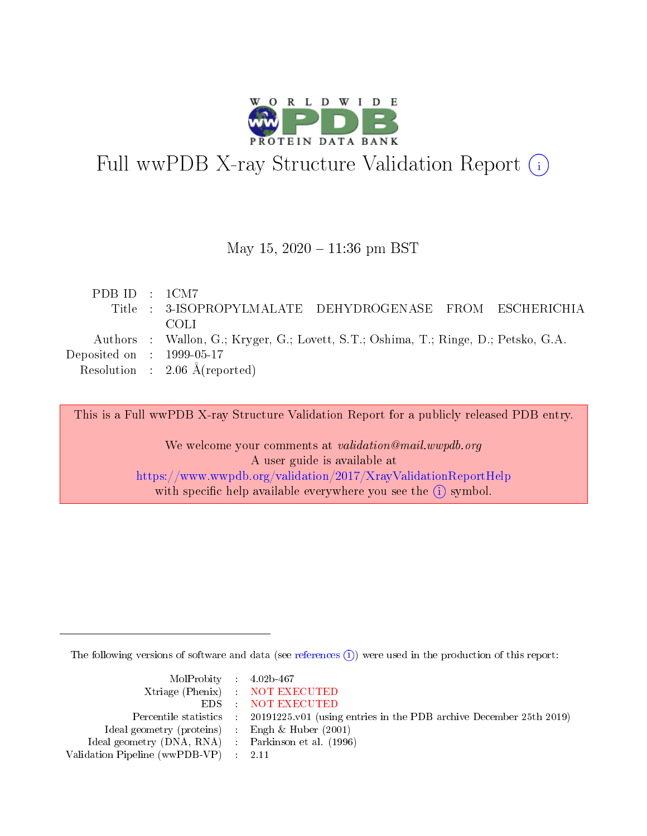

# Full wwPDB X-ray Structure Validation Report (i)

#### May 15,  $2020 - 11:36$  pm BST

| PDB ID : $1CM7$                      | Title : 3-ISOPROPYLMALATE DEHYDROGENASE FROM ESCHERICHIA<br>-COLL                                                               |
|--------------------------------------|---------------------------------------------------------------------------------------------------------------------------------|
| Deposited on $\therefore$ 1999-05-17 | Authors : Wallon, G.; Kryger, G.; Lovett, S.T.; Oshima, T.; Ringe, D.; Petsko, G.A.<br>Resolution : $2.06 \text{ Å}$ (reported) |

This is a Full wwPDB X-ray Structure Validation Report for a publicly released PDB entry.

We welcome your comments at validation@mail.wwpdb.org A user guide is available at <https://www.wwpdb.org/validation/2017/XrayValidationReportHelp> with specific help available everywhere you see the  $(i)$  symbol.

The following versions of software and data (see [references](https://www.wwpdb.org/validation/2017/XrayValidationReportHelp#references)  $\overline{(1)}$ ) were used in the production of this report:

| $MolProbability$ 4.02b-467                          |                                                                    |
|-----------------------------------------------------|--------------------------------------------------------------------|
|                                                     | Xtriage (Phenix) NOT EXECUTED                                      |
|                                                     | EDS : NOT EXECUTED                                                 |
| Percentile statistics :                             | 20191225.v01 (using entries in the PDB archive December 25th 2019) |
| Ideal geometry (proteins) :                         | Engh $\&$ Huber (2001)                                             |
| Ideal geometry (DNA, RNA) : Parkinson et al. (1996) |                                                                    |
| Validation Pipeline (wwPDB-VP) : 2.11               |                                                                    |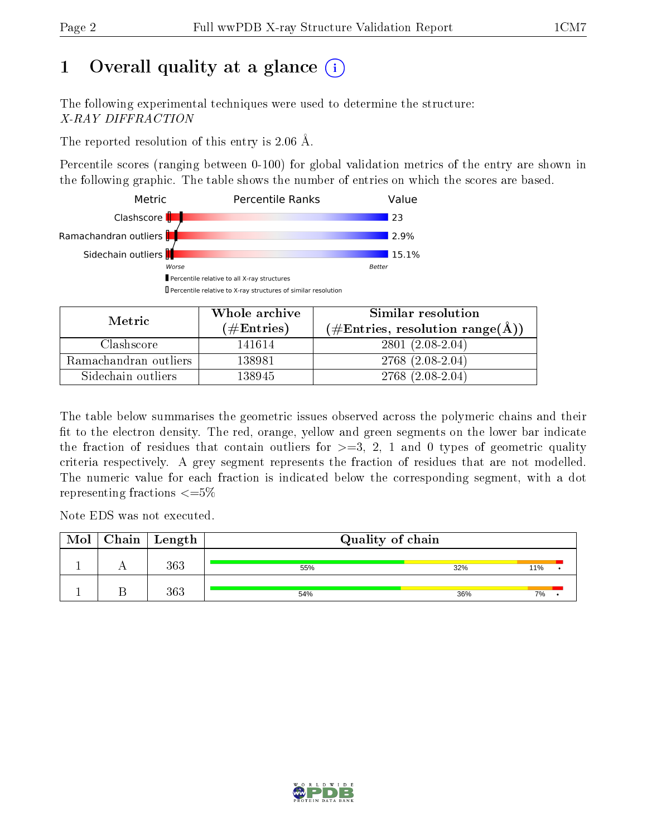## 1 [O](https://www.wwpdb.org/validation/2017/XrayValidationReportHelp#overall_quality)verall quality at a glance  $(i)$

The following experimental techniques were used to determine the structure: X-RAY DIFFRACTION

The reported resolution of this entry is 2.06 Å.

Percentile scores (ranging between 0-100) for global validation metrics of the entry are shown in the following graphic. The table shows the number of entries on which the scores are based.



| Metric.               | Whole archive<br>(# $\rm{Entries}$ ) | Similar resolution<br>$(\#\text{Entries}, \text{resolution range}(\text{\AA})\)$ |  |  |
|-----------------------|--------------------------------------|----------------------------------------------------------------------------------|--|--|
| Clashscore            | 141614                               | $2801(2.08-2.04)$                                                                |  |  |
| Ramachandran outliers | 138981                               | $2768(2.08-2.04)$                                                                |  |  |
| Sidechain outliers    | 138945                               | $2768(2.08-2.04)$                                                                |  |  |

The table below summarises the geometric issues observed across the polymeric chains and their fit to the electron density. The red, orange, yellow and green segments on the lower bar indicate the fraction of residues that contain outliers for  $\geq=3$ , 2, 1 and 0 types of geometric quality criteria respectively. A grey segment represents the fraction of residues that are not modelled. The numeric value for each fraction is indicated below the corresponding segment, with a dot representing fractions  $\epsilon = 5\%$ 

Note EDS was not executed.

| Mol | $Chain \  Length$ | Quality of chain |     |     |  |  |  |
|-----|-------------------|------------------|-----|-----|--|--|--|
|     | 363               | 55%              | 32% | 11% |  |  |  |
|     | 363               | 54%              | 36% | 7%  |  |  |  |

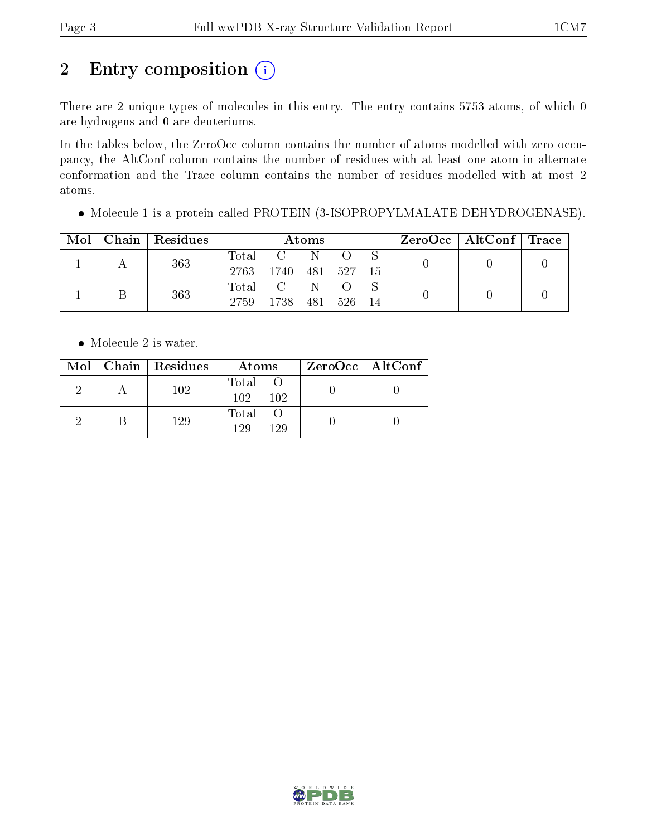# 2 Entry composition (i)

There are 2 unique types of molecules in this entry. The entry contains 5753 atoms, of which 0 are hydrogens and 0 are deuteriums.

In the tables below, the ZeroOcc column contains the number of atoms modelled with zero occupancy, the AltConf column contains the number of residues with at least one atom in alternate conformation and the Trace column contains the number of residues modelled with at most 2 atoms.

Molecule 1 is a protein called PROTEIN (3-ISOPROPYLMALATE DEHYDROGENASE).

| Mol | Chain   Residues | Atoms         |      |     |       |    | $\text{ZeroOcc}$   AltConf   Trace |  |
|-----|------------------|---------------|------|-----|-------|----|------------------------------------|--|
|     | 363              | Total<br>2763 | 1740 | 481 | - 527 | 15 |                                    |  |
|     | 363              | Total<br>2759 | 1738 | 481 | 526   | 14 |                                    |  |

• Molecule 2 is water.

|  | $Mol$   Chain   Residues | Atoms                  | $ZeroOcc \   \ AltConf \  $ |
|--|--------------------------|------------------------|-----------------------------|
|  | 102                      | Total O<br>102.<br>102 |                             |
|  | 129                      | Total<br>129<br>129    |                             |

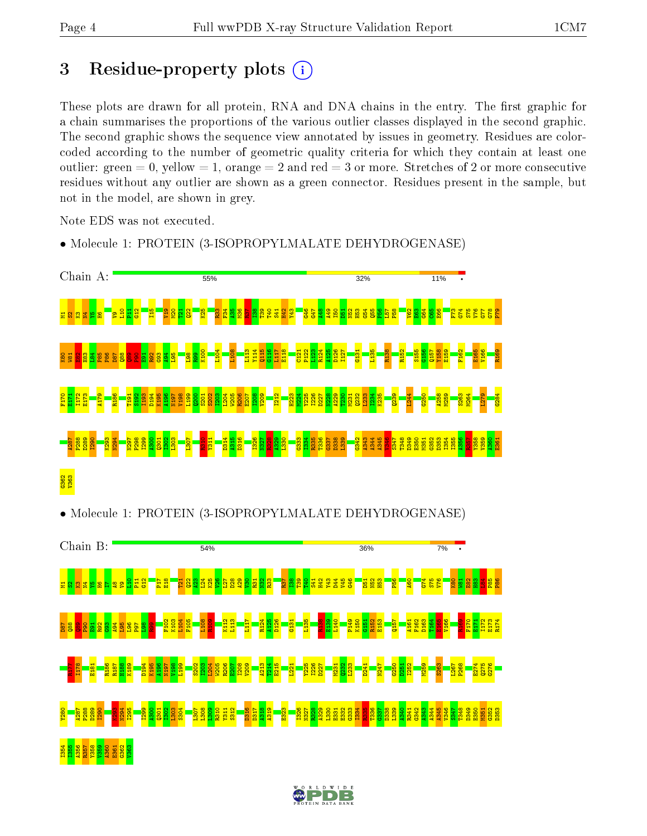## 3 Residue-property plots  $(i)$

These plots are drawn for all protein, RNA and DNA chains in the entry. The first graphic for a chain summarises the proportions of the various outlier classes displayed in the second graphic. The second graphic shows the sequence view annotated by issues in geometry. Residues are colorcoded according to the number of geometric quality criteria for which they contain at least one outlier: green  $= 0$ , yellow  $= 1$ , orange  $= 2$  and red  $= 3$  or more. Stretches of 2 or more consecutive residues without any outlier are shown as a green connector. Residues present in the sample, but not in the model, are shown in grey.

Note EDS was not executed.

• Molecule 1: PROTEIN (3-ISOPROPYLMALATE DEHYDROGENASE)



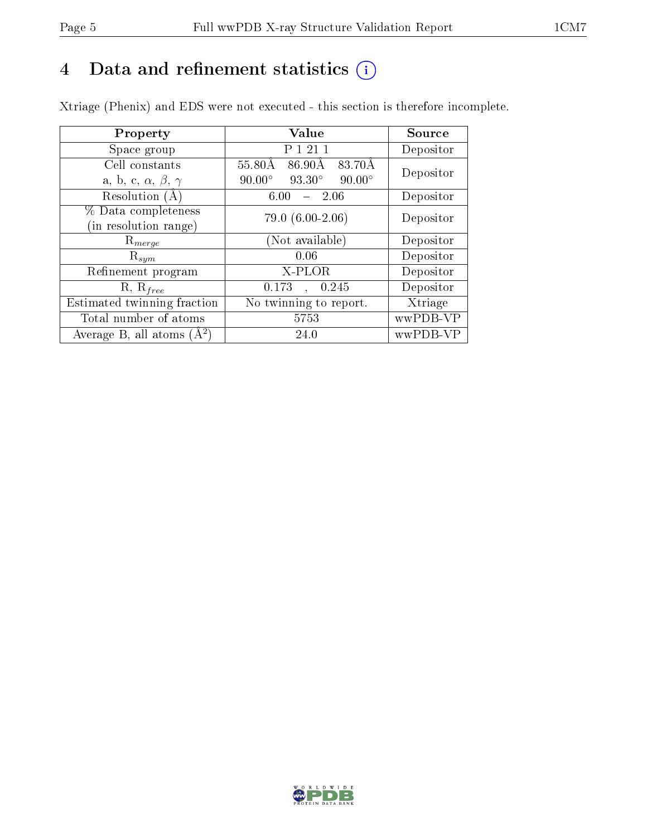## 4 Data and refinement statistics  $(i)$

Xtriage (Phenix) and EDS were not executed - this section is therefore incomplete.

| Property                               | <b>Value</b>                                    | Source    |  |
|----------------------------------------|-------------------------------------------------|-----------|--|
| Space group                            | P 1 21 1                                        | Depositor |  |
| Cell constants                         | $55.80\text{\AA}$<br>86.90Å<br>83.70Å           | Depositor |  |
| a, b, c, $\alpha$ , $\beta$ , $\gamma$ | $90.00^\circ$<br>$93.30^\circ$<br>$90.00^\circ$ |           |  |
| Resolution $(A)$                       | $-2.06$<br>6.00                                 | Depositor |  |
| % Data completeness                    | $79.0(6.00-2.06)$                               | Depositor |  |
| (in resolution range)                  |                                                 |           |  |
| $\mathrm{R}_{merge}$                   | (Not available)                                 | Depositor |  |
| $\mathrm{R}_{sym}$                     | 0.06                                            | Depositor |  |
| Refinement program                     | X-PLOR                                          | Depositor |  |
| $R, R_{free}$                          | 0.245<br>0.173<br>$\mathbf{A}^{\text{max}}$     | Depositor |  |
| Estimated twinning fraction            | No twinning to report.                          | Xtriage   |  |
| Total number of atoms                  | 5753                                            | wwPDB-VP  |  |
| Average B, all atoms $(A^2)$           | 24.0                                            | wwPDB-VP  |  |

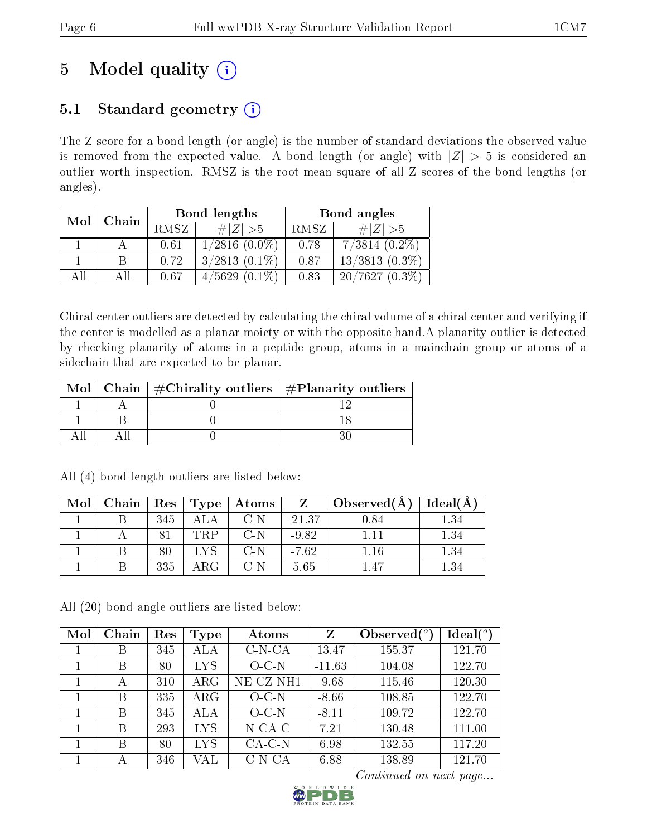## 5 Model quality  $(i)$

## 5.1 Standard geometry  $(i)$

The Z score for a bond length (or angle) is the number of standard deviations the observed value is removed from the expected value. A bond length (or angle) with  $|Z| > 5$  is considered an outlier worth inspection. RMSZ is the root-mean-square of all Z scores of the bond lengths (or angles).

| Mol | Chain |      | Bond lengths       | Bond angles |                  |  |
|-----|-------|------|--------------------|-------------|------------------|--|
|     |       | RMSZ | # $ Z  > 5$        | RMSZ        | $\ Z\  > 5$      |  |
|     |       | 0.61 | $1/2816$ $(0.0\%)$ | 0.78        | $7/3814(0.2\%)$  |  |
|     |       | 0.72 | $3/2813$ $(0.1\%)$ | 0.87        | $13/3813(0.3\%)$ |  |
| AII |       | 0.67 | $4/5629(0.1\%)$    | 0.83        | $20/7627(0.3\%)$ |  |

Chiral center outliers are detected by calculating the chiral volume of a chiral center and verifying if the center is modelled as a planar moiety or with the opposite hand.A planarity outlier is detected by checking planarity of atoms in a peptide group, atoms in a mainchain group or atoms of a sidechain that are expected to be planar.

|  | Mol   Chain   $\#\text{Chirality outliers}$   $\#\text{Planarity outliers}$ |  |
|--|-----------------------------------------------------------------------------|--|
|  |                                                                             |  |
|  |                                                                             |  |
|  |                                                                             |  |

| Mol | Chain |     | $\mid$ Res $\mid$ Type $\mid$ | Atoms | Z        | Observed(A) | Ideal(A) |
|-----|-------|-----|-------------------------------|-------|----------|-------------|----------|
|     |       | 345 | ALA                           | $C-N$ | $-21.37$ | 0.84        | . 34     |
|     |       |     | TRP                           | $C-N$ | $-9.82$  |             | $1.34\,$ |
|     |       | 80  | <b>IVS</b>                    | $C-N$ | $-7.62$  | 1.16        | $1.34\,$ |
|     |       | 335 | ARG -                         | $C-N$ | 5.65     | $1\,47$     | .34      |

All (4) bond length outliers are listed below:

All (20) bond angle outliers are listed below:

| Mol | Chain | Res | Type       | Atoms     | Z        | Observed $(°)$ | Ideal $(^\circ)$ |
|-----|-------|-----|------------|-----------|----------|----------------|------------------|
|     | B     | 345 | ALA        | $C-N-CA$  | 13.47    | 155.37         | 121.70           |
|     | В     | 80  | <b>LYS</b> | $O-C-N$   | $-11.63$ | 104.08         | 122.70           |
|     | А     | 310 | $\rm{ARG}$ | NE-CZ-NH1 | $-9.68$  | 115.46         | 120.30           |
|     | В     | 335 | $\rm{ARG}$ | $O_{C-N}$ | $-8.66$  | 108.85         | 122.70           |
|     | В     | 345 | ALA        | $O-C-N$   | $-8.11$  | 109.72         | 122.70           |
|     | В     | 293 | <b>LYS</b> | $N$ -CA-C | 7.21     | 130.48         | 111.00           |
|     | В     | 80  | <b>LYS</b> | $CA-C-N$  | 6.98     | 132.55         | 117.20           |
|     | А     | 346 | VAL        | $C-N-CA$  | 6.88     | 138.89         | 121.70           |

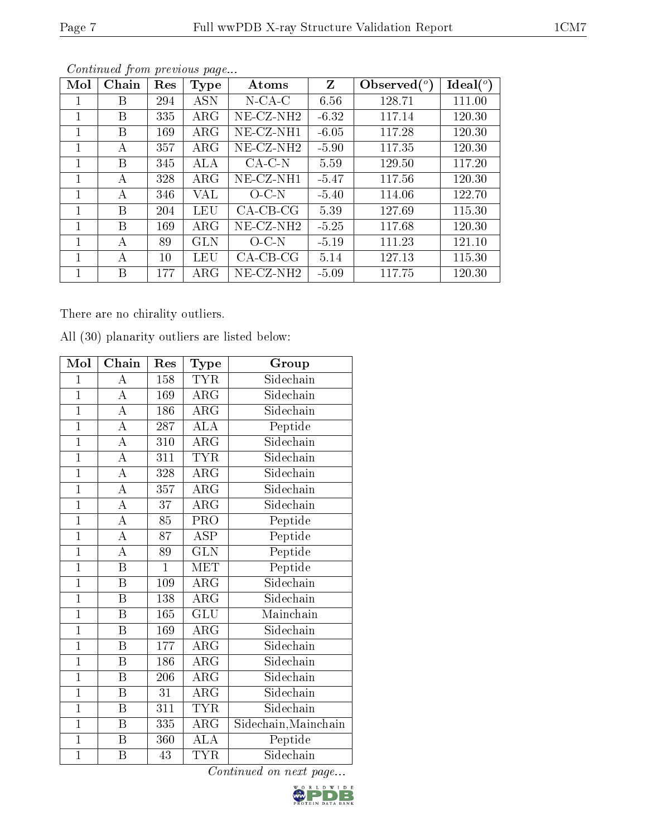| Mol | ${\rm Chain}$ | Res | <b>Type</b> | Atoms        | Z       | Observed $(°)$ | $\text{Ideal}({}^o)$ |
|-----|---------------|-----|-------------|--------------|---------|----------------|----------------------|
| 1   | В             | 294 | ASN         | $N$ -CA-C    | 6.56    | 128.71         | 111.00               |
| 1   | В             | 335 | $\rm{ARG}$  | $NE- CZ-NH2$ | $-6.32$ | 117.14         | 120.30               |
|     | В             | 169 | $\rm{ARG}$  | $NE-CZ-NH1$  | $-6.05$ | 117.28         | 120.30               |
|     | А             | 357 | $\rm{ARG}$  | $NE-CZ-NH2$  | $-5.90$ | 117.35         | 120.30               |
| 1   | В             | 345 | ALA         | $CA-C-N$     | 5.59    | 129.50         | 117.20               |
|     | А             | 328 | $\rm{ARG}$  | NE-CZ-NH1    | $-5.47$ | 117.56         | 120.30               |
| 1   | A             | 346 | VAL         | $O$ C-N      | $-5.40$ | 114.06         | 122.70               |
| 1   | В             | 204 | LEU         | $CA-CB-CG$   | 5.39    | 127.69         | 115.30               |
| 1   | В             | 169 | $\rm{ARG}$  | NE-CZ-NH2    | $-5.25$ | 117.68         | 120.30               |
| 1   | А             | 89  | GLN         | $O-C-N$      | $-5.19$ | 111.23         | 121.10               |
|     | А             | 10  | LEU         | $CA-CB-CG$   | 5.14    | 127.13         | 115.30               |
|     | В             | 177 | $\rm{ARG}$  | NE-CZ-NH2    | $-5.09$ | 117.75         | 120.30               |

There are no chirality outliers.

All (30) planarity outliers are listed below:

| Mol            | Chain                   | Res            | <b>Type</b>             | Group                |
|----------------|-------------------------|----------------|-------------------------|----------------------|
| $\overline{1}$ | А                       | 158            | <b>TYR</b>              | Sidechain            |
| $\mathbf 1$    | A                       | 169            | $\rm{ARG}$              | Sidechain            |
| $\overline{1}$ | $\overline{\rm A}$      | 186            | $\rm{ARG}$              | Sidechain            |
| $\overline{1}$ | $\overline{\rm A}$      | 287            | $\overline{\rm ALA}$    | Peptide              |
| $\overline{1}$ | $\overline{\rm A}$      | 310            | $\overline{\rm{ARG}}$   | Sidechain            |
| $\overline{1}$ | A                       | 311            | <b>TYR</b>              | Sidechain            |
| $\mathbf{1}$   | А                       | 328            | $\rm{ARG}$              | Sidechain            |
| $\overline{1}$ | $\overline{\rm A}$      | 357            | $\overline{\text{ARG}}$ | Sidechain            |
| $\overline{1}$ | $\overline{\rm A}$      | 37             | $\rm{ARG}$              | Sidechain            |
| $\overline{1}$ | $\overline{\rm A}$      | 85             | $\overline{\text{PRO}}$ | Peptide              |
| $\overline{1}$ | $\overline{\rm A}$      | 87             | $\overline{\text{ASP}}$ | Peptide              |
| $\overline{1}$ | $\overline{\rm A}$      | 89             | $\overline{\text{GLN}}$ | Peptide              |
| $\overline{1}$ | Β                       | $\overline{1}$ | <b>MET</b>              | Peptide              |
| $\mathbf{1}$   | $\boldsymbol{B}$        | 109            | $\rm{ARG}$              | Sidechain            |
| $\overline{1}$ | $\overline{\mathrm{B}}$ | 138            | $\overline{\rm{ARG}}$   | Sidechain            |
| $\overline{1}$ | $\, {\bf B}$            | 165            | GLU                     | Mainchain            |
| $\overline{1}$ | $\overline{\mathrm{B}}$ | 169            | $\overline{\rm{ARG}}$   | Sidechain            |
| $\overline{1}$ | $\boldsymbol{B}$        | 177            | $\rm{ARG}$              | Sidechain            |
| $\overline{1}$ | $\boldsymbol{B}$        | 186            | $\rm{ARG}$              | Sidechain            |
| $\overline{1}$ | Β                       | 206            | $\rm{ARG}$              | Sidechain            |
| $\mathbf{1}$   | B                       | 31             | $\rm{ARG}$              | Sidechain            |
| $\overline{1}$ | $\boldsymbol{B}$        | 311            | <b>TYR</b>              | Sidechain            |
| $\overline{1}$ | $\boldsymbol{B}$        | 335            | ARG                     | Sidechain, Mainchain |
| $\overline{1}$ | $\overline{\mathrm{B}}$ | 360            | $\overline{\rm ALA}$    | Peptide              |
| $\overline{1}$ | $\overline{\mathrm{B}}$ | 43             | <b>TYR</b>              | Sidechain            |

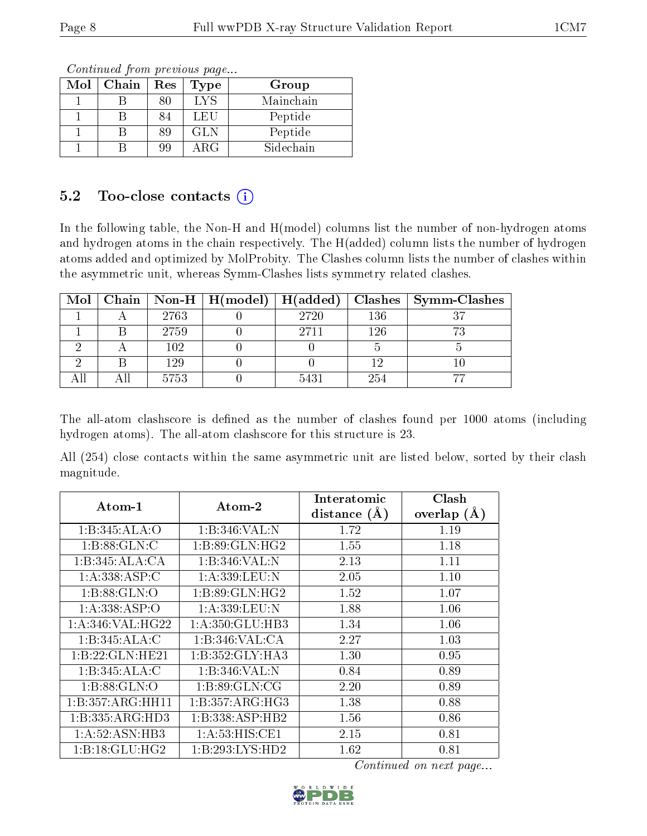| Mol | Chain | Res | <b>Type</b> | Group     |
|-----|-------|-----|-------------|-----------|
|     |       | ጸበ  | LYS         | Mainchain |
|     |       | 84  | LEU         | Peptide   |
|     |       | 89  | <b>GLN</b>  | Peptide   |
|     |       | 99  | $\rm{ARG}$  | Sidechain |

### 5.2 Too-close contacts  $(i)$

In the following table, the Non-H and H(model) columns list the number of non-hydrogen atoms and hydrogen atoms in the chain respectively. The H(added) column lists the number of hydrogen atoms added and optimized by MolProbity. The Clashes column lists the number of clashes within the asymmetric unit, whereas Symm-Clashes lists symmetry related clashes.

|  |      |      |     | Mol   Chain   Non-H   H(model)   H(added)   Clashes   Symm-Clashes |
|--|------|------|-----|--------------------------------------------------------------------|
|  | 2763 | 2720 | 136 |                                                                    |
|  | 2759 | 2711 | 126 |                                                                    |
|  | 102  |      |     |                                                                    |
|  | 129  |      |     |                                                                    |
|  | 5753 | 5431 | 254 |                                                                    |

The all-atom clashscore is defined as the number of clashes found per 1000 atoms (including hydrogen atoms). The all-atom clashscore for this structure is 23.

All (254) close contacts within the same asymmetric unit are listed below, sorted by their clash magnitude.

| Atom-1             | $\boldsymbol{\mathrm{Atom}\text{-}2}$ | Interatomic      | Clash         |
|--------------------|---------------------------------------|------------------|---------------|
|                    |                                       | distance $(\AA)$ | overlap $(A)$ |
| 1:B:345:ALA:O      | 1:B:346:VAL:N                         | 1.72             | 1.19          |
| 1: B:88: GLN: C    | 1: B:89: GLN: HG2                     | 1.55             | 1.18          |
| 1:B:345:ALA:CA     | 1:B:346:VAL:N                         | 2.13             | 1.11          |
| 1:A:338:ASP:C      | 1: A:339:LEU:N                        | 2.05             | 1.10          |
| 1:B:88:GLN:O       | 1: B:89: GLN: HG2                     | 1.52             | 1.07          |
| 1:A:338:ASP:O      | 1:A:339:LEU:N                         | 1.88             | 1.06          |
| 1: A:346: VAL:HG22 | 1:A:350:GLU:HB3                       | 1.34             | 1.06          |
| 1:B:345:ALA:C      | 1:B:346:VAL:CA                        | 2.27             | 1.03          |
| 1:B:22:GLN:HE21    | 1:B:352:GLY:HA3                       | 1.30             | 0.95          |
| 1:B:345:ALA:C      | 1:B:346:VAL:N                         | 0.84             | 0.89          |
| 1: B:88: GLN:O     | 1: B:89: GLN:CG                       | 2.20             | 0.89          |
| 1:B:357:ARG:HH11   | 1:B:357:ARG:HG3                       | 1.38             | 0.88          |
| 1:B:335:ARG:HD3    | 1:B:338:ASP:HB2                       | 1.56             | 0.86          |
| 1: A:52: ASN:HB3   | $1: A:53: HIS: \overline{CE1}$        | 2.15             | 0.81          |
| 1:B:18:GLU:HG2     | 1:B:293:LYS:HD2                       | 1.62             | 0.81          |

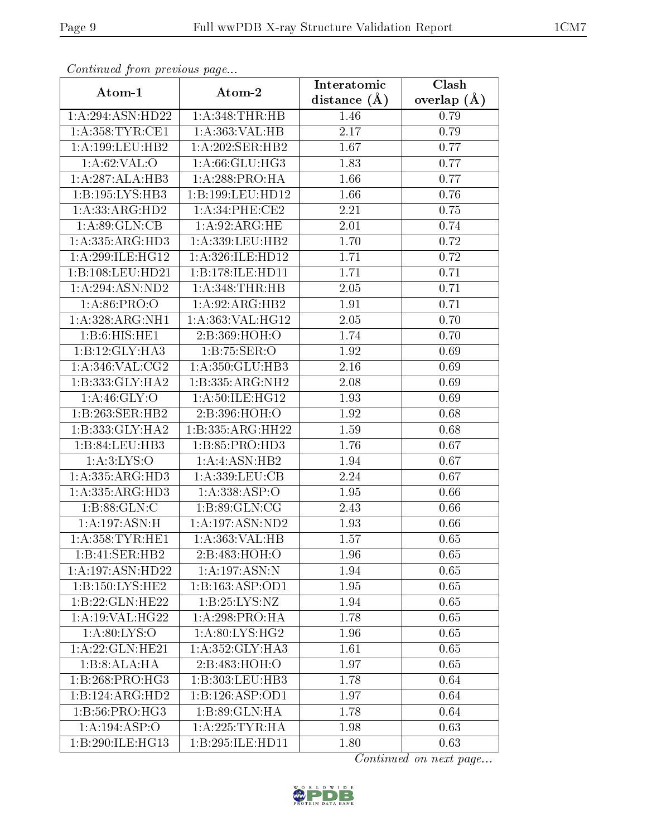| Continuea from previous page          |                     | Interatomic    | Clash         |
|---------------------------------------|---------------------|----------------|---------------|
| Atom-1                                | Atom-2              | distance $(A)$ | overlap $(A)$ |
| 1:A:294:ASN:HD22                      | 1: A:348:THR:HB     | 1.46           | 0.79          |
| 1: A:358: TYR: CE1                    | 1: A: 363: VAL: HB  | 2.17           | 0.79          |
| 1: A: 199: LEU: HB2                   | 1:A:202:SER:HB2     | 1.67           | 0.77          |
| 1: A:62:VAL:O                         | 1: A:66: GLU:HG3    | 1.83           | 0.77          |
| 1:A:287:ALA:HB3                       | 1: A:288:PRO:HA     | 1.66           | 0.77          |
| 1:B:195:LYS:HB3                       | 1:B:199:LEU:HD12    | 1.66           | 0.76          |
| 1:A:33:ARG:HD2                        | 1: A:34:PHE:CE2     | 2.21           | 0.75          |
| 1: A:89: GLN:CB                       | 1:A:92:ARG:HE       | 2.01           | 0.74          |
| 1:A:335:ARG:HD3                       | 1:A:339:LEU:HB2     | 1.70           | 0.72          |
| 1: A:299: ILE: HG12                   | 1: A:326: ILE: HD12 | 1.71           | 0.72          |
| 1:B:108:LEU:HD21                      | 1:B:178:ILE:HD11    | 1.71           | 0.71          |
| 1:A:294:ASN:ND2                       | 1: A:348:THR:HB     | 2.05           | 0.71          |
| 1:A:86:PRO:O                          | 1: A:92: ARG: HB2   | 1.91           | 0.71          |
| 1:A:328:ARG:NH1                       | 1:A:363:VAL:HG12    | 2.05           | 0.70          |
| 1:B:6:HIS:HE1                         | 2:B:369:HOH:O       | 1.74           | 0.70          |
| 1:B:12:GLY:HA3                        | 1:B:75:SER:O        | 1.92           | 0.69          |
| 1:A:346:VAL:CG2                       | 1:A:350:GLU:HB3     | 2.16           | 0.69          |
| 1:B:333:GLY:HA2                       | 1:B:335:ARG:NH2     | 2.08           | 0.69          |
| 1: A:46: GLY:O                        | 1:A:50:ILE:HG12     | 1.93           | 0.69          |
| 1:B:263:SER:HB2                       | 2:B:396:HOH:O       | 1.92           | 0.68          |
| 1:B:333:GLY:HA2                       | 1:B:335:ARG:HH22    | 1.59           | 0.68          |
| 1:B:84:LEU:HB3                        | 1: B: 85: PRO: HD3  | 1.76           | 0.67          |
| $1: A:3: LYS: \overline{O}$           | 1:A:ASN:HB2         | 1.94           | 0.67          |
| 1:A:335:ARG:HD3                       | 1:A:339:LEU:CB      | 2.24           | 0.67          |
| $1:A:335:A\overline{\mathrm{RG:HD3}}$ | 1:A:338:ASP:O       | 1.95           | 0.66          |
| 1:B:88:GLN:C                          | 1: B:89: GLN:CG     | 2.43           | 0.66          |
| 1:A:197:ASN:H                         | 1: A: 197: ASN: ND2 | 1.93           | 0.66          |
| 1: A: 358: TYR: HE1                   | 1: A: 363: VAL: HB  | 1.57           | 0.65          |
| 1:B:41:SER:HB2                        | 2:B:483:HOH:O       | 1.96           | 0.65          |
| 1:A:197:ASN:HD22                      | 1: A:197: ASN:N     | 1.94           | 0.65          |
| 1:B:150:LYS:HE2                       | 1:B:163:ASP:OD1     | 1.95           | 0.65          |
| 1:B:22:GLN:HE22                       | 1: B: 25: LYS: NZ   | 1.94           | 0.65          |
| 1: A:19: VAL:HG22                     | 1: A:298: PRO:HA    | 1.78           | 0.65          |
| 1: A:80: LYS:O                        | 1: A:80: LYS: HG2   | 1.96           | 0.65          |
| 1:A:22:GLN:HE21                       | 1:A:352:GLY:HA3     | 1.61           | 0.65          |
| 1:B:8:ALA:HA                          | 2:B:483:HOH:O       | 1.97           | 0.65          |
| 1:B:268:PRO:HG3                       | 1:B:303:LEU:HB3     | 1.78           | 0.64          |
| $1:B:124:AR\overline{G:HD2}$          | 1:B:126:ASP:OD1     | 1.97           | 0.64          |
| 1:B:56:PRO:HG3                        | 1: B:89: GLN: HA    | 1.78           | 0.64          |
| 1:A:194:ASP:O                         | 1: A:225:TYR:HA     | 1.98           | 0.63          |
| 1:B:290:ILE:HG13                      | 1:B:295:ILE:HD11    | 1.80           | 0.63          |

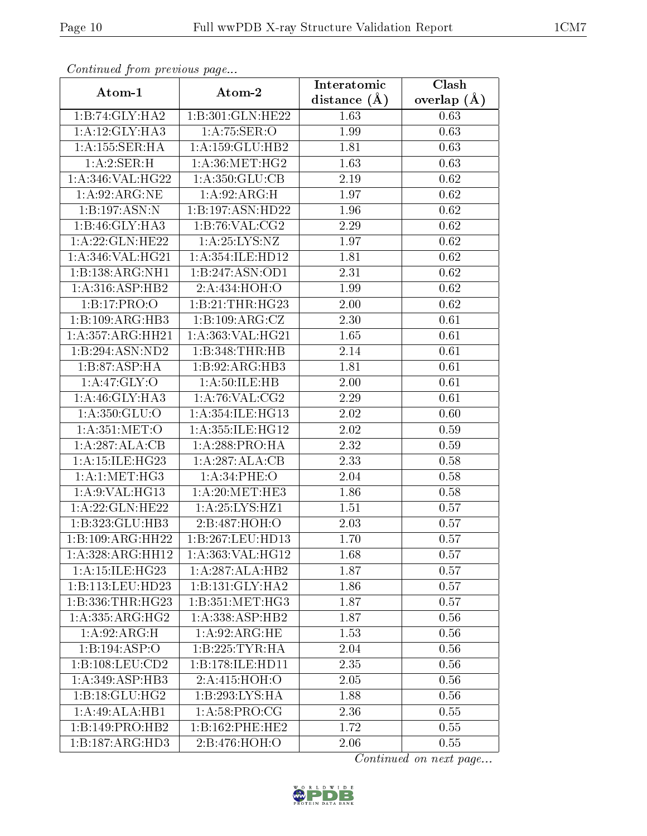| Continuea from previous page |                              | Interatomic    | Clash         |
|------------------------------|------------------------------|----------------|---------------|
| Atom-1                       | Atom-2                       | distance $(A)$ | overlap $(A)$ |
| 1:B:74:GLY:HA2               | 1:B:301:GLN:HE22             | 1.63           | 0.63          |
| 1:A:12:GLY:HA3               | 1: A:75: SER:O               | 1.99           | 0.63          |
| 1:A:155:SER:HA               | $1:A:159:GLU:H\overline{B2}$ | 1.81           | 0.63          |
| 1:A:2:SER:H                  | 1: A:36:MET:HG2              | 1.63           | 0.63          |
| 1:A:346:VAL:HG22             | 1:A:350:GLU:CB               | 2.19           | 0.62          |
| 1: A:92: ARG: NE             | 1: A:92: ARG:H               | 1.97           | 0.62          |
| 1:B:197:ASN:N                | 1:B:197:ASN:HD22             | 1.96           | 0.62          |
| 1:B:46:GLY:HA3               | 1:B:76:VAL:CG2               | 2.29           | 0.62          |
| 1:A:22:GLN:HE22              | 1: A:25: LYS: NZ             | 1.97           | 0.62          |
| 1: A:346: VAL:HG21           | 1:A:354:ILE:HD12             | 1.81           | 0.62          |
| 1:B:138:ARG:NH1              | 1:B:247:ASN:OD1              | 2.31           | 0.62          |
| 1:A:316:ASP:HB2              | 2:A:434:HOH:O                | 1.99           | 0.62          |
| 1:B:17:PRO:O                 | 1:B:21:THR:HG23              | 2.00           | 0.62          |
| 1:B:109:ARG:HB3              | 1: B: 109: ARG: CZ           | 2.30           | 0.61          |
| 1:A:357:ARG:HH21             | 1:A:363:VAL:HG21             | 1.65           | 0.61          |
| 1:B:294:ASN:ND2              | 1:B:348:THR:HB               | 2.14           | 0.61          |
| 1:B:87:ASP:HA                | 1:B:92:ARG:HB3               | 1.81           | 0.61          |
| 1:A:47:GLY:O                 | 1: A: 50: ILE: HB            | 2.00           | 0.61          |
| 1:A:46:GLY:HA3               | 1: A:76: VAL:CG2             | 2.29           | 0.61          |
| 1: A:350: GLU:O              | 1:A:354:ILE:HG13             | 2.02           | 0.60          |
| 1: A:351: MET:O              | 1:A:355:ILE:HG12             | 2.02           | 0.59          |
| 1:A:287:ALA:CB               | 1:A:288:PRO:HA               | 2.32           | 0.59          |
| 1:A:15:ILE:HG23              | 1:A:287:ALA:CB               | 2.33           | 0.58          |
| 1: A:1: MET:HG3              | 1:A:34:PHE:O                 | 2.04           | 0.58          |
| 1:A:9:VAL:HG13               | 1: A:20:MET:HE3              | 1.86           | 0.58          |
| 1:A:22:GLN:HE22              | 1:A:25:LYS:HZ1               | 1.51           | 0.57          |
| 1:B:323:GLU:HB3              | 2:B:487:HOH:O                | 2.03           | 0.57          |
| 1:B:109:ARG:HH22             | 1:B:267:LEU:HD13             | 1.70           | 0.57          |
| 1:A:328:ARG:HH12             | 1:A:363:VAL:HG12             | 1.68           | 0.57          |
| 1: A:15: ILE:HG23            | $1:A:287:ALA:\overline{HB2}$ | 1.87           | 0.57          |
| 1:B:113:LEU:HD23             | 1:B:131:GLY:HA2              | 1.86           | 0.57          |
| 1:B:336:THR:HG23             | 1:B:351:MET:HG3              | 1.87           | 0.57          |
| 1: A: 335: ARG: HG2          | 1:A:338:ASP:HB2              | 1.87           | 0.56          |
| 1:A:92:ARG:H                 | 1:A:92:ARG:HE                | 1.53           | $0.56\,$      |
| 1:B:194:ASP:O                | 1:B:225:TYR:HA               | 2.04           | 0.56          |
| 1:B:108:LEU:CD2              | 1:B:178:ILE:HD11             | 2.35           | 0.56          |
| $1:A:349:ASP:H\overline{B3}$ | 2:A:415:HOH:O                | 2.05           | 0.56          |
| 1:B:18:GLU:HG2               | 1:B:293:LYS:HA               | 1.88           | 0.56          |
| 1:A:49:ALA:HB1               | 1:A:58:PRO:CG                | 2.36           | 0.55          |
| 1:B:149:PRO:HB2              | 1:B:162:PHE:HE2              | 1.72           | 0.55          |
| 1:B:187:ARG:HD3              | 2:B:476:HOH:O                | 2.06           | 0.55          |

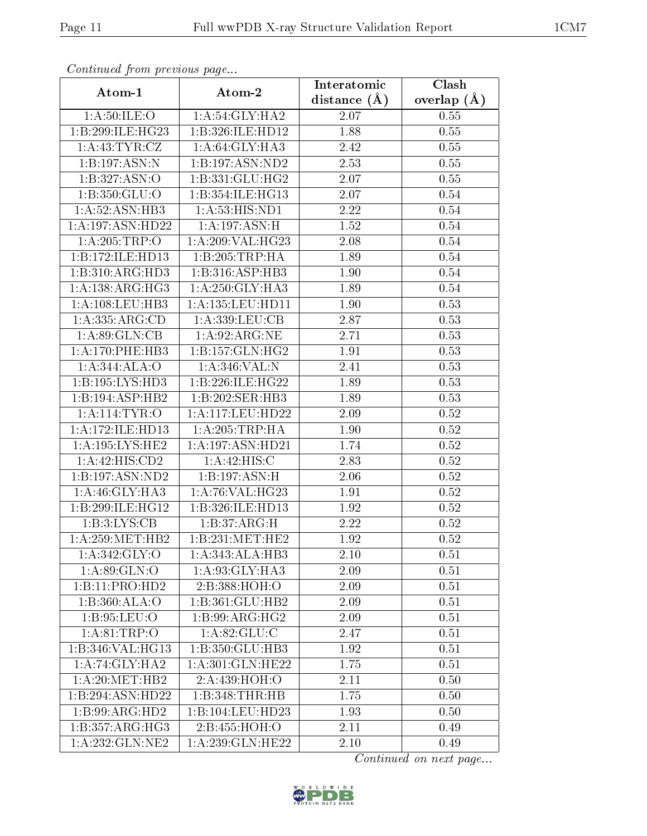| Continued from previous page  |                     | Interatomic       | Clash         |
|-------------------------------|---------------------|-------------------|---------------|
| Atom-1                        | Atom-2              | distance $(A)$    | overlap $(A)$ |
| 1: A:50: ILE: O               | 1: A:54: GLY:HA2    | 2.07              | 0.55          |
| 1:B:299:ILE:HG23              | 1:B:326:ILE:HD12    | 1.88              | 0.55          |
| 1: A: 43: TYR: CZ             | 1: A:64: GLY:HA3    | 2.42              | 0.55          |
| 1:B:197:ASN:N                 | 1:B:197:ASN:ND2     | 2.53              | 0.55          |
| 1:B:327:ASN:O                 | 1: B: 331: GLU: HG2 | 2.07              | 0.55          |
| 1:B:350:GLU:O                 | 1:B:354:ILE:HG13    | 2.07              | 0.54          |
| 1: A:52: ASN:HB3              | 1:A:53:HIS:ND1      | $\overline{2}.22$ | 0.54          |
| 1:A:197:ASN:HD22              | 1: A:197: ASN:H     | 1.52              | 0.54          |
| 1:A:205:TRP:O                 | 1: A:209: VAL:HG23  | 2.08              | 0.54          |
| 1:B:172:ILE:HD13              | 1:B:205:TRP:HA      | 1.89              | 0.54          |
| 1:B:310:ARG:HD3               | 1:B:316:ASP:HB3     | 1.90              | 0.54          |
| 1: A: 138: ARG: HG3           | 1: A:250: GLY:HA3   | 1.89              | 0.54          |
| $1: A: 108: \text{LEU:HB3}$   | 1:A:135:LEU:HD11    | 1.90              | 0.53          |
| 1:A:335:ARG:CD                | 1: A: 339: LEU: CB  | 2.87              | 0.53          |
| 1: A:89: GLN:CB               | 1:A:92:ARG:NE       | 2.71              | 0.53          |
| 1: A:170:PHE:HB3              | 1: B: 157: GLN: HG2 | 1.91              | 0.53          |
| 1: A:344:ALA:O                | 1:A:346:VAL:N       | 2.41              | 0.53          |
| 1:B:195:LYS:HD3               | 1:B:226:ILE:HG22    | 1.89              | 0.53          |
| 1:B:194:ASP:HB2               | 1:B:202:SER:HB3     | 1.89              | 0.53          |
| 1:A:114:TYR:O                 | 1:A:117:LEU:HD22    | 2.09              | 0.52          |
| 1:A:172:ILE:HD13              | 1: A:205:TRP:HA     | 1.90              | 0.52          |
| 1: A: 195: LYS: HE2           | 1:A:197:ASN:HD21    | 1.74              | 0.52          |
| 1:A:42:HIS:CD2                | 1:A:42:HIS:C        | 2.83              | 0.52          |
| 1:B:197:ASN:ND2               | 1:B:197:ASN:H       | 2.06              | 0.52          |
| 1: A:46: GLY:HA3              | 1:A:76:VAL:H G23    | 1.91              | 0.52          |
| 1:B:299:ILE:HG12              | 1:B:326:ILE:HD13    | 1.92              | 0.52          |
| 1: B:3: LYS: CB               | 1:B:37:ARG:H        | 2.22              | 0.52          |
| 1:A:259:MET:HB2               | 1:B:231:MET:HE2     | 1.92              | 0.52          |
| $1: A: 342: \overline{GLY:O}$ | 1:A:343:ALA:HB3     | 2.10              | 0.51          |
| 1: A:89: GLN:O                | 1: A:93: GLY:HA3    | 2.09              | 0.51          |
| 1:B:11:PRO:HD2                | 2:B:388:HOH:O       | 2.09              | 0.51          |
| 1:B:360:ALA:O                 | 1:B:361:GLU:HB2     | 2.09              | 0.51          |
| 1: B:95: LEU:O                | 1: B:99: ARG: HG2   | 2.09              | 0.51          |
| 1: A:81:TRP:O                 | 1: A:82: GLU:C      | 2.47              | 0.51          |
| 1:B:346:VAL:HG13              | 1:B:350:GLU:HB3     | 1.92              | 0.51          |
| 1:A:74:GLY:HA2                | 1:A:301:GLN:HE22    | 1.75              | 0.51          |
| 1: A:20:MET:HB2               | 2:A:439:HOH:O       | 2.11              | 0.50          |
| 1:B:294:ASN:HD22              | 1:B:348:THR:HB      | 1.75              | 0.50          |
| 1:B:99:ARG:HD2                | 1:B:104:LEU:HD23    | 1.93              | 0.50          |
| 1:B:357:ARG:HG3               | 2:B:455:HOH:O       | 2.11              | 0.49          |
| $1:A:232:\overline{GLN:NE2}$  | 1:A:239:GLN:HE22    | 2.10              | 0.49          |

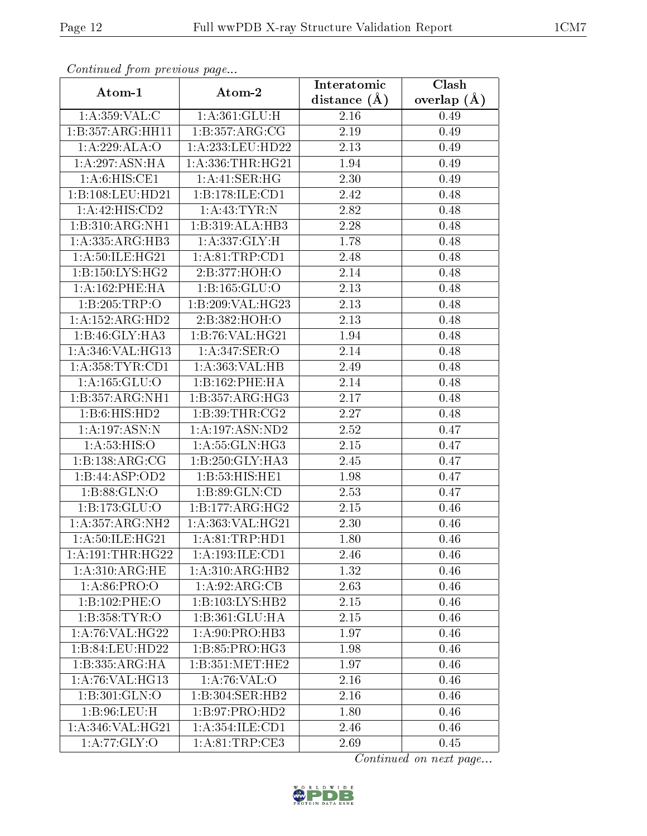| Continuea from previous page |                            | Interatomic    | Clash         |
|------------------------------|----------------------------|----------------|---------------|
| Atom-1                       | Atom-2                     | distance $(A)$ | overlap $(A)$ |
| 1: A: 359: VAL: C            | 1: A:361: GLU: H           | 2.16           | 0.49          |
| 1:B:357:ARG:HH11             | 1:B:357:ARG:CG             | 2.19           | 0.49          |
| 1:A:229:ALA:O                | 1: A: 233: LEU: HD22       | 2.13           | 0.49          |
| 1: A:297: ASN: HA            | 1: A: 336: THR: HG21       | 1.94           | 0.49          |
| 1: A:6: HIS: CE1             | 1: A: 41: SER: HG          | 2.30           | 0.49          |
| 1:B:108:LEU:HD21             | 1:B:178:ILE:CD1            | 2.42           | 0.48          |
| 1:A:42:HIS:CD2               | $1:$ A:43:TYR:N            | 2.82           | 0.48          |
| 1:B:310:ARG:NH1              | 1:B:319:ALA:HB3            | 2.28           | 0.48          |
| 1:A:335:ARG:HB3              | 1: A: 337: GLY: H          | 1.78           | 0.48          |
| 1: A:50: ILE: HG21           | 1: A:81:TRP:CD1            | 2.48           | 0.48          |
| 1:B:150:LYS:HG2              | 2:B:377:HOH:O              | 2.14           | 0.48          |
| 1: A:162:PHE:HA              | 1:B:165:GLU:O              | 2.13           | 0.48          |
| 1:B:205:TRP:O                | 1:B:209:VAL:HG23           | 2.13           | 0.48          |
| 1:A:152:ARG:HD2              | 2:B:382:HOH:O              | 2.13           | 0.48          |
| 1:B:46:GLY:HA3               | 1:B:76:VAL:H G21           | 1.94           | 0.48          |
| 1: A:346: VAL:HG13           | 1:A:347:SER:O              | 2.14           | 0.48          |
| 1: A: 358: TYR: CD1          | 1:A:363:VAL:HB             | 2.49           | 0.48          |
| 1:A:165:GLU:O                | 1:B:162:PHE:HA             | 2.14           | 0.48          |
| 1:B:357:ARG:NH1              | 1:B:357:ARG:HG3            | 2.17           | 0.48          |
| 1:B:6:HIS:HD2                | 1: B:39: THR: CG2          | 2.27           | 0.48          |
| 1:A:197:ASN:N                | 1:A:197:ASN:ND2            | 2.52           | 0.47          |
| 1: A:53: HIS:O               | 1:A:55:GLN:HG3             | 2.15           | 0.47          |
| 1:B:138:ARG:CG               | 1:B:250:GLY:HA3            | 2.45           | 0.47          |
| 1:B:44:ASP:OD2               | 1:B:53:HIS:HE1             | 1.98           | 0.47          |
| 1:B:88:GLN:O                 | 1:B:89:GLN:CD              | 2.53           | 0.47          |
| 1:B:173:GLU:O                | 1:B:177:ARG:HG2            | 2.15           | 0.46          |
| 1:A:357:ARG:NH2              | 1:A:363:VAL:HG21           | 2.30           | 0.46          |
| 1: A:50: ILE:HG21            | 1: A:81:TRP:HD1            | 1.80           | 0.46          |
| 1: A:191:THR:HG22            | 1:A:193:ILE:CD1            | 2.46           | 0.46          |
| 1: A:310:ARG:HE              | 1:A:310:ARG:HB2            | 1.32           | 0.46          |
| 1: A:86: PRO:O               | $1:A:92:AR\overline{G:CB}$ | 2.63           | 0.46          |
| 1:B:102:PHE:O                | 1:B:103:LYS:HB2            | 2.15           | 0.46          |
| 1:B:358:TYR:O                | 1:B:361:GLU:HA             | 2.15           | 0.46          |
| 1: A:76: VAL:HG22            | 1:A:90:PRO:HB3             | 1.97           | 0.46          |
| 1:B:84:LEU:HD22              | 1: B:85: PRO:HG3           | 1.98           | 0.46          |
| 1:B:335:ARG:HA               | 1: B: 351: MET: HE2        | 1.97           | 0.46          |
| 1:A:76:VAL:HG13              | 1: A:76: VAL:O             | 2.16           | 0.46          |
| 1:B:301:GLN:O                | 1:B:304:SER:HB2            | 2.16           | 0.46          |
| 1: B:96: LEU:H               | 1: B:97: PRO:HD2           | 1.80           | 0.46          |
| 1:A:346:VAL:HG21             | 1:A:354:ILE:CD1            | 2.46           | 0.46          |
| 1:A:77:GLY:O                 | 1:A:81:TRP:CE3             | 2.69           | 0.45          |

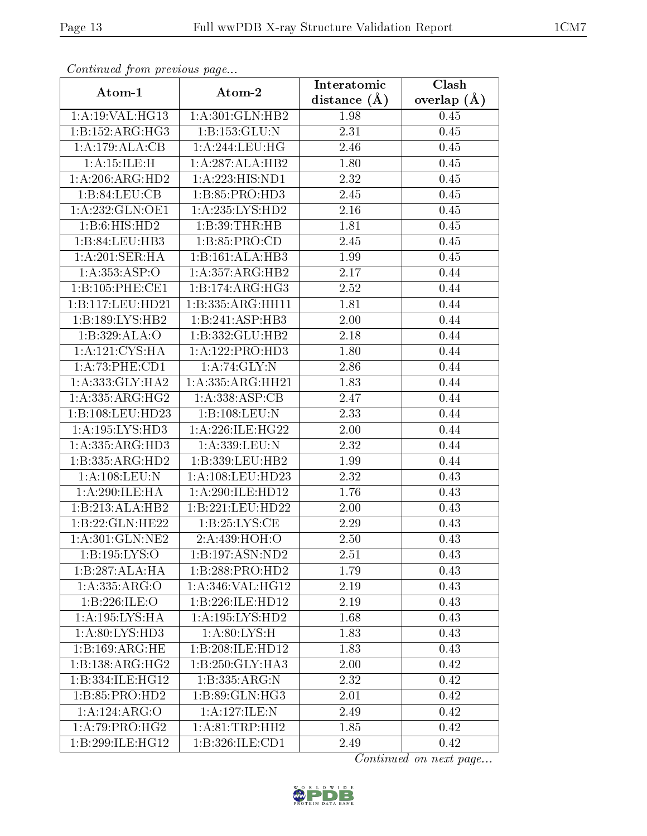| сонинией јтоні ртеvious раде |                             | Interatomic    | Clash           |
|------------------------------|-----------------------------|----------------|-----------------|
| Atom-1                       | Atom-2                      | distance $(A)$ | overlap $(\AA)$ |
| 1: A:19: VAL: HG13           | 1: A:301: GLN: HB2          | 1.98           | 0.45            |
| 1:B:152:ARG:HG3              | 1:B:153:GLU:N               | 2.31           | 0.45            |
| 1:A:179:ALA:CB               | 1: A:244:LEU:HG             | 2.46           | 0.45            |
| 1:A:15:ILE:H                 | 1:A:287:ALA:HB2             | 1.80           | 0.45            |
| 1: A:206:ARG:HD2             | 1:A:223:HIS:ND1             | 2.32           | 0.45            |
| 1:B:84:LEU:CB                | 1:B:85:PRO:HD3              | 2.45           | 0.45            |
| 1:A:232:GLN:OE1              | 1: A: 235: LYS: HD2         | 2.16           | 0.45            |
| 1:B:6:HIS:HD2                | 1:B:39:THR:HB               | 1.81           | 0.45            |
| 1:B:84:LEU:HB3               | 1: B: 85: PRO: CD           | 2.45           | 0.45            |
| 1:A:201:SER:HA               | 1:B:161:ALA:HB3             | 1.99           | 0.45            |
| 1:A:353:ASP:O                | 1:A:357:ARG:HB2             | 2.17           | 0.44            |
| 1:B:105:PHE:CE1              | 1:B:174:ARG:HG3             | 2.52           | 0.44            |
| 1:B:117:LEU:HD21             | 1:B:335:ARG:HH11            | 1.81           | 0.44            |
| 1:B:189:LYS:HB2              | 1:B:241:ASP:HB3             | 2.00           | 0.44            |
| 1:B:329:ALA:O                | 1:B:332:GLU:HB2             | 2.18           | 0.44            |
| 1:A:121:CYS:HA               | 1:A:122:PRO:H <sub>D3</sub> | 1.80           | 0.44            |
| 1:A:73:PHE:CD1               | 1:A:74:GLY:N                | 2.86           | 0.44            |
| 1: A: 333: GLY: HA2          | 1: A: 335: ARG: HH21        | 1.83           | 0.44            |
| 1:A:335:ARG:HG2              | 1:A:338:ASP:CB              | 2.47           | 0.44            |
| 1:B:108:LEU:HD23             | 1:B:108:LEU:N               | 2.33           | 0.44            |
| 1:A:195:LYS:HD3              | 1:A:226:ILE:HG22            | 2.00           | 0.44            |
| 1: A: 335: ARG: HD3          | 1:A:339:LEU:N               | 2.32           | 0.44            |
| 1:B:335:ARG:HD2              | 1:B:339:LEU:HB2             | 1.99           | 0.44            |
| 1:A:108:LEU:N                | 1:A:108:LEU:HD23            | 2.32           | 0.43            |
| 1: A:290: ILE: HA            | 1:A:290:ILE:HD12            | 1.76           | 0.43            |
| 1:B:213:ALA:HB2              | 1:B:221:LEU:HD22            | 2.00           | 0.43            |
| 1:B:22:GLN:HE22              | 1: B:25: LYS:CE             | 2.29           | 0.43            |
| 1:A:301:GLN:NE2              | 2:A:439:HOH:O               | 2.50           | 0.43            |
| 1:B:195:LYS:O                | 1:B:197:ASN:ND2             | 2.51           | 0.43            |
| 1:B:287:ALA:HA               | 1:B:288:PRO:HD2             | 1.79           | 0.43            |
| 1:A.335:ARG.                 | 1: A:346: VAL:HG12          | 2.19           | 0.43            |
| 1:B:226:ILE:O                | 1:B:226:ILE:HD12            | 2.19           | 0.43            |
| 1:A:195:LYS:HA               | 1: A: 195: LYS: HD2         | 1.68           | 0.43            |
| 1: A:80: LYS:HD3             | 1: A:80: LYS:H              | 1.83           | 0.43            |
| 1:B:169:ARG:HE               | 1:B:208:ILE:HD12            | 1.83           | 0.43            |
| 1:B:138:ARG:HG2              | 1:B:250:GLY:HA3             | 2.00           | 0.42            |
| 1:B:334:ILE:HG12             | 1: B: 335: ARG: N           | 2.32           | 0.42            |
| 1:B:85:PRO:HD2               | 1: B:89: GLN: HG3           | 2.01           | 0.42            |
| 1:A:124:ARG:O                | 1:A:127:ILE:N               | 2.49           | 0.42            |
| $1:A:79:PRO:H\overline{G2}$  | 1: A:81:TRP:HH2             | 1.85           | 0.42            |
| 1:B:299:ILE:HG12             | 1:B:326:ILE:CD1             | 2.49           | 0.42            |

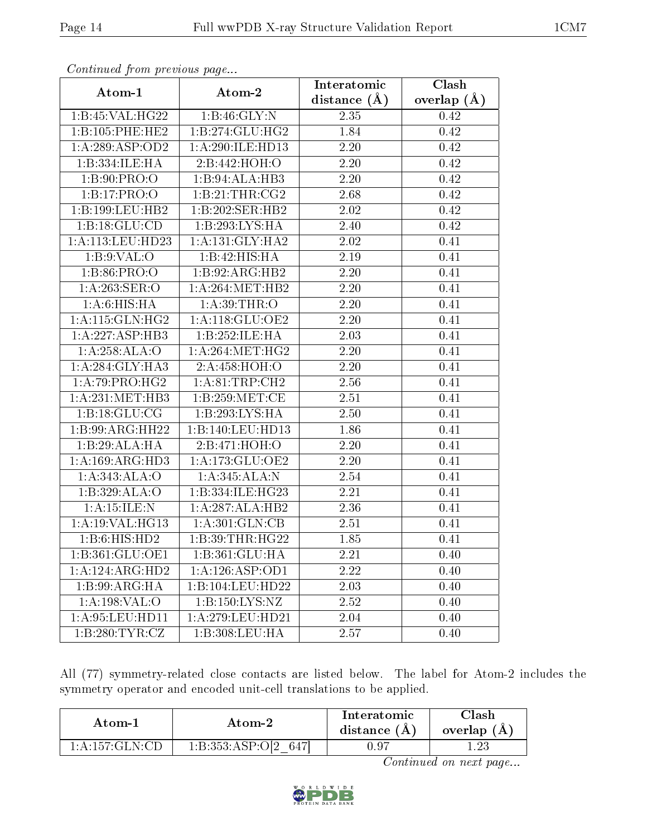| continuou provisious pago             |                   | Interatomic       | $\overline{\text{Clash}}$ |
|---------------------------------------|-------------------|-------------------|---------------------------|
| Atom-1                                | Atom-2            | distance $(A)$    | overlap $(A)$             |
| 1:B:45:VAL:HG22                       | 1: B:46: GLY:N    | 2.35              | 0.42                      |
| 1:B:105:PHE:HE2                       | 1:B:274:GLU:HG2   | 1.84              | 0.42                      |
| 1:A:289:ASP:OD2                       | 1:A:290:ILE:HD13  | 2.20              | 0.42                      |
| 1:B:334:ILE:HA                        | 2:B:442:HOH:O     | 2.20              | 0.42                      |
| 1: B:90: PRO:                         | 1:B:94:ALA:HB3    | 2.20              | 0.42                      |
| 1:B:17:PRO:O                          | 1:B:21:THR:CG2    | 2.68              | 0.42                      |
| 1:B:199:LEU:HB2                       | 1:B:202:SER:HB2   | 2.02              | 0.42                      |
| 1:B:18:GLU:CD                         | 1:B:293:LYS:HA    | 2.40              | 0.42                      |
| 1:A:113:LEU:HD23                      | 1: A:131: GLY:HA2 | 2.02              | 0.41                      |
| 1: B: 9: VAL: O                       | 1:B:42:HIS:HA     | 2.19              | 0.41                      |
| 1: B:86: PRO:O                        | 1:B:92:ARG:HB2    | 2.20              | 0.41                      |
| 1: A:263: SER:O                       | 1: A:264:MET:HB2  | 2.20              | 0.41                      |
| 1: A:6: HIS: HA                       | 1: A:39:THR:O     | 2.20              | 0.41                      |
| 1: A:115: GLN: HG2                    | 1: A:118: GLU:OE2 | $\overline{2}.20$ | 0.41                      |
| 1:A:227:ASP:HB3                       | 1:B:252:ILE:HA    | 2.03              | 0.41                      |
| 1:A:258:ALA:O                         | 1: A:264:MET:HG2  | 2.20              | 0.41                      |
| 1: A:284: GLY:HA3                     | 2:A:458:HOH:O     | 2.20              | 0.41                      |
| 1:A:79:PRO:HG2                        | 1: A:81:TRP:CH2   | 2.56              | 0.41                      |
| 1: A:231:MET:HB3                      | 1:B:259:MET:CE    | 2.51              | 0.41                      |
| 1:B:18:GLU:CG                         | 1:B:293:LYS:HA    | 2.50              | 0.41                      |
| 1:B:99:ARG:HH22                       | 1:B:140:LEU:HD13  | 1.86              | 0.41                      |
| 1:B:29:ALA:HA                         | 2:B:471:HOH:O     | $2.20\,$          | 0.41                      |
| 1: A:169: ARG:HD3                     | 1: A:173: GLU:OE2 | 2.20              | 0.41                      |
| 1:A:343:ALA:O                         | 1:A:345:ALA:N     | 2.54              | 0.41                      |
| 1:B:329:ALA:O                         | 1:B:334:ILE:HG23  | 2.21              | 0.41                      |
| 1:A:15:ILE:N                          | 1:A:287:ALA:HB2   | 2.36              | 0.41                      |
| 1: A:19: VAL: HG13                    | 1: A:301: GLN:CB  | 2.51              | 0.41                      |
| 1:B:6:HIS:HD2                         | 1:B:39:THR:HG22   | 1.85              | 0.41                      |
| 1:B:361:GLU:OE1                       | 1:B:361:GLU:HA    | 2.21              | 0.40                      |
| 1:A:124:ARG:HD2                       | 1:A:126:ASP:OD1   | 2.22              | 0.40                      |
| $1:B:99:A\overline{RG:H}\overline{A}$ | 1:B:104:LEU:HD22  | 2.03              | 0.40                      |
| 1:A:198:VAL:O                         | 1:B:150:LYS:NZ    | 2.52              | 0.40                      |
| 1: A:95: LEU: HD11                    | 1:A:279:LEU:HD21  | 2.04              | 0.40                      |
| 1:B:280:TYR:CZ                        | 1:B:308:LEU:HA    | 2.57              | 0.40                      |

All (77) symmetry-related close contacts are listed below. The label for Atom-2 includes the symmetry operator and encoded unit-cell translations to be applied.

| Atom-1                                        | Atom-2           | Interatomic<br>distance $(A)$ | 7lash<br>overlap (A |
|-----------------------------------------------|------------------|-------------------------------|---------------------|
| $1\cdot$ A $\cdot$ 157 $\cdot$ GLN $\cdot$ CD | 1:B:353:ASP:O[2] |                               |                     |

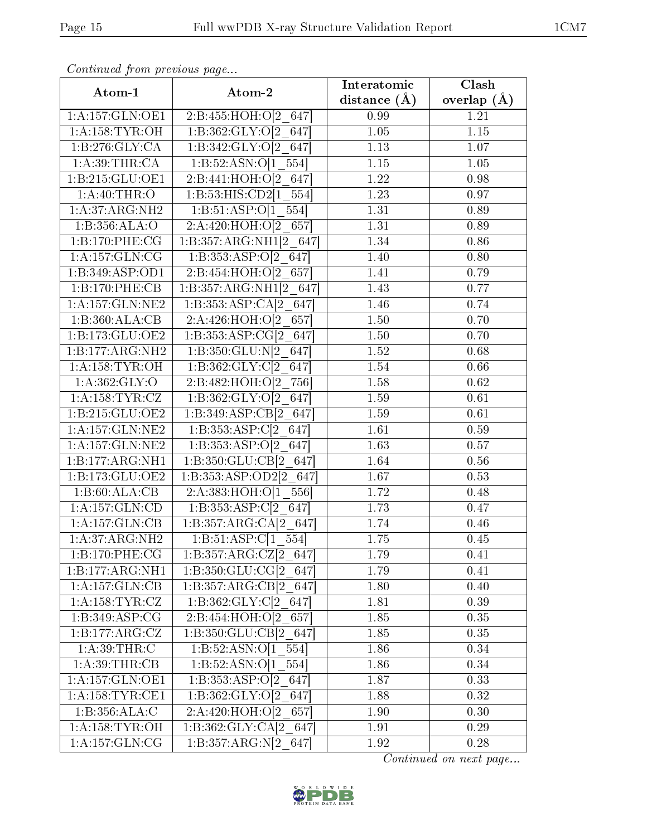|                     | Atom-1<br>Atom-2                    | Interatomic       | Clash           |
|---------------------|-------------------------------------|-------------------|-----------------|
|                     |                                     | distance $(A)$    | overlap $(\AA)$ |
| 1:A:157:GLN:OE1     | 2:B:455:HOH:O[2 647]                | 0.99              | 1.21            |
| 1: A: 158: TYR: OH  | 1:B:362:GLY:O[2 647]                | 1.05              | 1.15            |
| 1:B:276:GLY:CA      | 1:B:342:GLY:O[2 647]                | 1.13              | 1.07            |
| 1:A:39:THR:CA       | 1:B:52:ASN:O[1 554]                 | $1.15\,$          | 1.05            |
| 1:B:215:GLU:OE1     | 2:B:441:HOH:O[2 647]                | 1.22              | 0.98            |
| 1: A:40:THR:O       | 1:B:53:HIS:CD2[1 554]               | 1.23              | 0.97            |
| 1:A:37:ARG:NH2      | 1:B:51:ASP: $O[1 \ 554]$            | 1.31              | 0.89            |
| 1:B:356:ALA:O       | 2:A:420:HOH:O[2 657]                | 1.31              | 0.89            |
| 1:B:170:PHE:CG      | 1:B:357:ARG:NH1[2 647]              | 1.34              | 0.86            |
| 1: A: 157: GLN: CG  | 1:B:353:ASP: $O[2 \ 647]$           | 1.40              | 0.80            |
| 1:B:349:ASP:OD1     | 2:B:454:HOH:O[2 657]                | 1.41              | 0.79            |
| 1:B:170:PHE:CB      | 1:B:357:ARG:NH1[2 647]              | 1.43              | 0.77            |
| 1: A: 157: GLN: NE2 | 1:B:353:ASP:CA[2 647]               | 1.46              | 0.74            |
| 1:B:360:ALA:CB      | 2:A:426:HOH:O[2 657]                | 1.50              | 0.70            |
| 1:B:173:GLU:OE2     | 1:B:353:ASP:CG[2 647]               | 1.50              | 0.70            |
| 1:B:177:ARG:NH2     | 1:B:350:GLU:N[2 647]                | 1.52              | 0.68            |
| 1: A: 158: TYR: OH  | 1:B:362:GLY:Cl2 647                 | 1.54              | 0.66            |
| 1: A:362: GLY:O     | 2:B:482:HOH:O[2 756]                | 1.58              | 0.62            |
| 1: A: 158: TYR: CZ  | 1:B:362:GLY:O[2 647]                | 1.59              | 0.61            |
| 1:B:215:GLU:OE2     | 1:B:349:ASP:CB[2 647]               | 1.59              | 0.61            |
| 1: A: 157: GLN: NE2 | 1:B:353:ASP:Cl2 647                 | $\overline{1.61}$ | 0.59            |
| 1: A: 157: GLN: NE2 | 1:B:353:ASP: $O[2 \ 647]$           | 1.63              | 0.57            |
| 1:B:177:ARG:NH1     | $1:B:350:\overline{GLU:CB[2\ 647]}$ | 1.64              | 0.56            |
| 1:B:173:GLU:OE2     | 1:B:353:ASP:OD2[2 647]              | 1.67              | 0.53            |
| 1:B:60:ALA:CB       | 2:A:383:HOH:O[1 556]                | 1.72              | 0.48            |
| 1:A:157:GLN:CD      | 1:B:353:ASP:C[2 647]                | 1.73              | 0.47            |
| 1:A:157:GLN:CB      | 1:B:357:ARG:CA[2 647]               | 1.74              | 0.46            |
| 1: A:37: ARG: NH2   | $1:B:51:ASP:Cl1$ 554                | 1.75              | 0.45            |
| 1:B:170:PHE:CG      | 1:B:357:ARG:CZ[2 647]               | 1.79              | 0.41            |
| 1:B:177:ARG:NH1     | 1:B:350:GLU:CG[2 647]               | 1.79              | 0.41            |
| 1:A:157:GLN:CB      | 1:B:357:ARG:CB[2 647]               | 1.80              | 0.40            |
| 1:A:158:TYR:CZ      | 1:B:362:GLY:C[2 647]                | 1.81              | 0.39            |
| 1:B:349:ASP:CG      | 2:B:454:HOH:O[2 657]                | 1.85              | 0.35            |
| 1: B: 177: ARG: CZ  | 1:B:350:GLU:CB[2 647]               | 1.85              | 0.35            |
| 1: A:39:THR:C       | 1:B:52:ASN:O[1 $\overline{554}$ ]   | 1.86              | 0.34            |
| 1: A:39:THR:CB      | 1:B:52:ASN:O[1 554]                 | 1.86              | 0.34            |
| 1: A: 157: GLN: OE1 | 1:B:353:ASP:O[2 647]                | 1.87              | 0.33            |
| 1: A: 158: TYR: CE1 | 1:B:362:GLY:O[2 647]                | 1.88              | 0.32            |
| 1:B:356:ALA:C       | 2:A:420:HOH:O[2 657]                | 1.90              | 0.30            |
| 1: A: 158: TYR: OH  | 1:B:362:GLY:CA[2 647]               | 1.91              | 0.29            |
| 1: A: 157: GLN: CG  | 1:B:357:ARG:N[2 647]                | 1.92              | 0.28            |

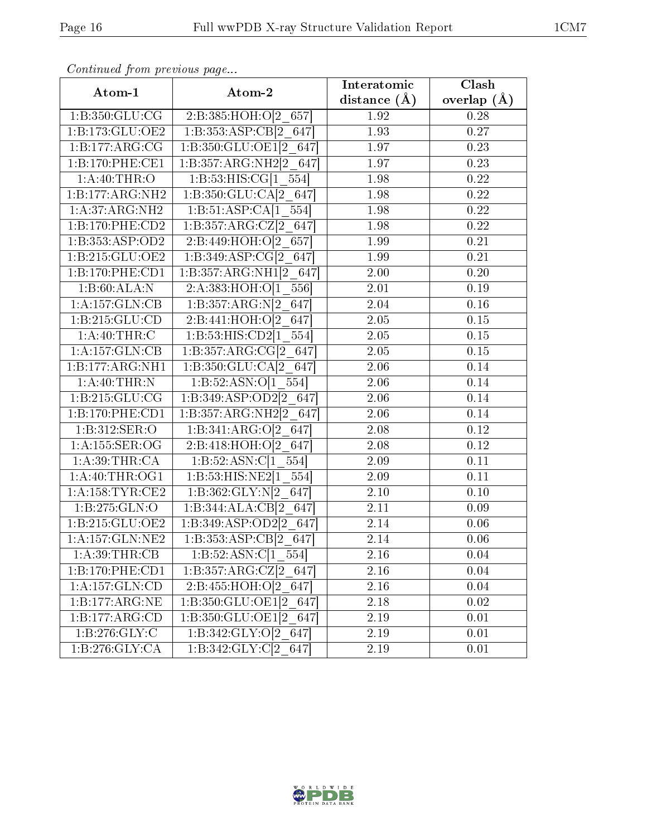| Atom-1                     | Atom-2                                  | Interatomic    | Clash           |
|----------------------------|-----------------------------------------|----------------|-----------------|
|                            |                                         | distance $(A)$ | overlap $(\AA)$ |
| 1: B: 350: GLU: CG         | 2:B:385:HOH:O[2 657]                    | 1.92           | 0.28            |
| 1:B:173:GLU:OE2            | 1:B:353:ASP:CB[2 647]                   | 1.93           | $0.27\,$        |
| 1:B:177:ARG:CG             | 1:B:350:GLU:OE1[2 647]                  | 1.97           | 0.23            |
| 1:B:170:PHE:CE1            | 1:B:357:ARG:NH2[2 647]                  | 1.97           | 0.23            |
| 1:A:40:THR:O               | 1:B:53:HIS:CG[1 554]                    | 1.98           | 0.22            |
| 1:B:177:ARG:NH2            | $1:B:350:GLU:CA[2]$ 647                 | 1.98           | 0.22            |
| 1:A:37:ARG:NH2             | 1:B:51:ASP:CA[1 554]                    | 1.98           | 0.22            |
| 1:B:170:PHE:CD2            | 1:B:357:ARG:CZ[2 647]                   | 1.98           | 0.22            |
| 1:B:353:ASP:OD2            | 2:B:449:HOH:O[2 657]                    | 1.99           | 0.21            |
| 1:B:215:GLU:OE2            | 1:B:349:ASP:CG[2 647]                   | 1.99           | 0.21            |
| 1:B:170:PHE:CD1            | 1: B: 357: ARG: NH1[2 647]              | 2.00           | 0.20            |
| 1:B:60:ALA:N               | 2:A:383:HOH:O[1 556]                    | 2.01           | 0.19            |
| 1:A:157:GLN:CB             | 1:B:357:ARG:N[2 647]                    | 2.04           | 0.16            |
| 1:B:215:GLU:CD             | 2:B:441:HOH:O[2 647]                    | 2.05           | 0.15            |
| 1: A:40:THR:C              | 1:B:53:HIS:CD2[1 554]                   | 2.05           | 0.15            |
| 1:A:157:GLN:CB             | 1:B:357:ARG:CG[2 647]                   | 2.05           | 0.15            |
| 1:B:177:ARG:NH1            | 1:B:350:GLU:CA[2 647]                   | 2.06           | 0.14            |
| $1:A:40:THR:\overline{N}$  | 1:B:52:ASN:O[1 554]                     | 2.06           | 0.14            |
| 1:B:215:GLU:CG             | 1:B:349:ASP:OD2[2 647]                  | 2.06           | 0.14            |
| 1:B:170:PHE:CD1            | 1:B:357:ARG:NH2[2 647]                  | 2.06           | 0.14            |
| 1: B: 312: SER: O          | 1:B:341:ARG:O[2 647]                    | 2.08           | 0.12            |
| 1:A:155:SER:OG             | 2:B:418:HOH:O[2 647]                    | 2.08           | 0.12            |
| $1:A:39:THR.\overline{CA}$ | 1:B:52:ASN:C[1 554]                     | 2.09           | 0.11            |
| 1: A:40:THR:OG1            | 1:B:53:HIS:NE2[1 554]                   | 2.09           | 0.11            |
| 1: A: 158: TYR: CE2        | 1:B:362:GLY:N[2 647]                    | 2.10           | 0.10            |
| 1:B:275:GLN:O              | 1:B:344:ALA:CB[2 647]                   | 2.11           | 0.09            |
| 1:B:215:GLU:OE2            | 1:B:349:ASP:OD2[2 647]                  | 2.14           | 0.06            |
| 1: A: 157: GLN: NE2        | 1:B:353:ASP:CB[2 647]                   | 2.14           | 0.06            |
| 1: A:39:THR:CB             | $1:B:52:ASN:C[1_554]$                   | 2.16           | 0.04            |
| 1:B:170:PHE:CD1            | 1:B:357:ARG:CZ[2 647]                   | 2.16           | 0.04            |
| 1: A:157: GLN:CD           | $2:B:455:HOH: \overline{O[2\ 647]}$     | 2.16           | 0.04            |
| 1:B:177:ARG:NE             | 1:B:350:GLU:OE1[2 647]                  | 2.18           | 0.02            |
| 1:B:177:ARG:CD             | 1:B:350:GLU:OE1[2_647]                  | 2.19           | 0.01            |
| 1:B:276:GLY:C              | 1:B:342:GLY:O[2 647]                    | 2.19           | 0.01            |
| 1:B:276:GLY:CA             | $1:B:342:GLY:\overline{C[2 \quad 647]}$ | 2.19           | 0.01            |

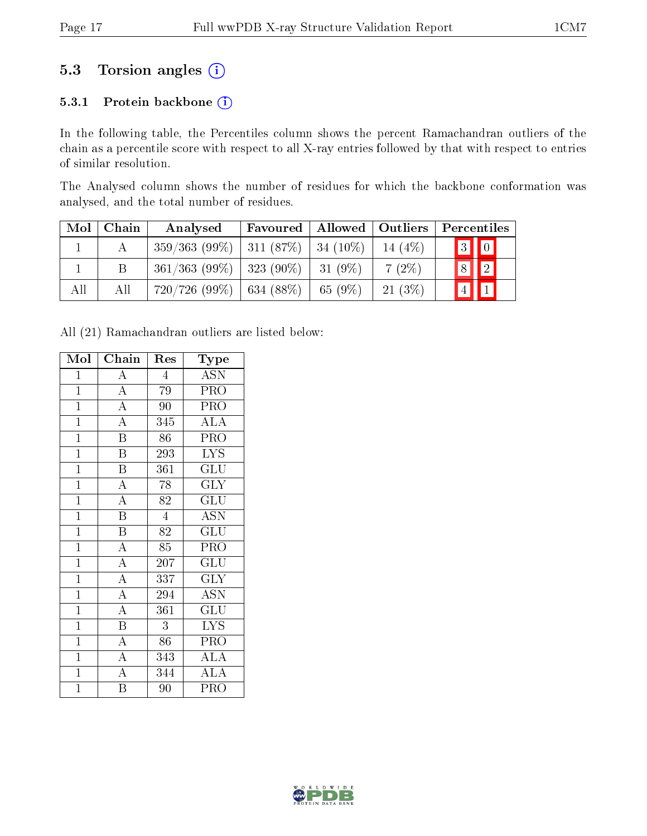### 5.3 Torsion angles (i)

#### 5.3.1 Protein backbone (i)

In the following table, the Percentiles column shows the percent Ramachandran outliers of the chain as a percentile score with respect to all X-ray entries followed by that with respect to entries of similar resolution.

The Analysed column shows the number of residues for which the backbone conformation was analysed, and the total number of residues.

| Mol | Chain | Analysed                                  | Favoured       | Allowed   Outliers |           | Percentiles             |
|-----|-------|-------------------------------------------|----------------|--------------------|-----------|-------------------------|
|     |       | $359/363$ (99\%)   311 (87\%)   34 (10\%) |                |                    | 14 $(4%)$ | $\boxed{3}$ $\boxed{0}$ |
|     | B     | $361/363$ (99\%)   323 (90\%)             |                | 31 (9%)            | $7(2\%)$  | $\boxed{2}$<br> 8       |
| All | All   | 720/726(99%)                              | $  634 (88\%)$ | 65 (9%)            | 21(3%)    | $\vert 4 \vert$         |

All (21) Ramachandran outliers are listed below:

| Mol            | Chain<br>Res            |                  | Type                    |
|----------------|-------------------------|------------------|-------------------------|
| $\mathbf{1}$   | $\boldsymbol{A}$        | $\overline{4}$   | <b>ASN</b>              |
| $\mathbf{1}$   | $\overline{\rm A}$      | 79               | PRO                     |
| $\overline{1}$ | $\overline{A}$          | 90               | PRO                     |
| $\overline{1}$ | $\overline{\rm A}$      | 345              | <b>ALA</b>              |
| $\overline{1}$ | $\overline{\text{B}}$   | 86               | PRO                     |
| $\overline{1}$ | $\overline{\mathrm{B}}$ | 293              | <b>LYS</b>              |
| $\overline{1}$ | $\overline{B}$          | 361              | GLU                     |
| $\overline{1}$ | $\overline{A}$          | 78               | <b>GLY</b>              |
| $\overline{1}$ | $\overline{\rm A}$      | 82               | $\overline{{\rm GLU}}$  |
| $\overline{1}$ | $\overline{\text{B}}$   | $\overline{4}$   | <b>ASN</b>              |
| $\mathbf{1}$   | $\overline{\mathbf{B}}$ | 82               | GLU                     |
| $\overline{1}$ | $\overline{\rm A}$      | 85               | PRO                     |
| $\mathbf{1}$   | $\overline{A}$          | $\overline{2}07$ | $\widetilde{{\rm GLU}}$ |
| $\overline{1}$ | $\overline{A}$          | 337              | <b>GLY</b>              |
| $\overline{1}$ | $\overline{\mathbf{A}}$ | 294              | ĀŠN                     |
| $\mathbf{1}$   | $\overline{A}$          | 361              | GLU                     |
| $\mathbf{1}$   | $\overline{B}$          | 3                | <b>LYS</b>              |
| $\mathbf{1}$   | $\overline{A}$          | 86               | PRO                     |
| $\overline{1}$ | $\overline{\rm A}$      | 343              | <b>ALA</b>              |
| $\overline{1}$ | $\overline{\rm A}$      | 344              | $\overline{\rm ALA}$    |
| $\mathbf 1$    | B                       | 90               | PRO                     |

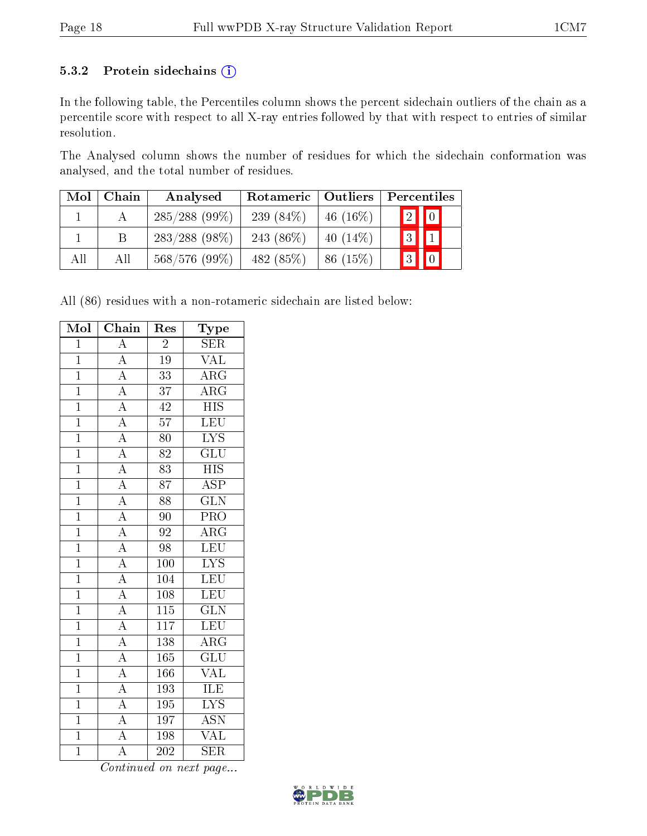#### 5.3.2 Protein sidechains (i)

In the following table, the Percentiles column shows the percent sidechain outliers of the chain as a percentile score with respect to all X-ray entries followed by that with respect to entries of similar resolution.

The Analysed column shows the number of residues for which the sidechain conformation was analysed, and the total number of residues.

| Mol | Chain | Analysed         | Rotameric   Outliers |             | Percentiles             |
|-----|-------|------------------|----------------------|-------------|-------------------------|
|     |       | $285/288$ (99%)  | 239 $(84\%)$         | 46 $(16\%)$ | $\boxed{2}$ $\boxed{0}$ |
|     | Β     | $283/288$ (98\%) | 243 $(86\%)$         | $40(14\%)$  | $3$ $1$                 |
| All | All   | 568/576 (99%)    | 482 (85%)            | 86(15%)     | $\boxed{3}$ $\boxed{0}$ |

All (86) residues with a non-rotameric sidechain are listed below:

| Mol            | $\overline{\text{Chain}}$                                               | Res              | Type                      |
|----------------|-------------------------------------------------------------------------|------------------|---------------------------|
| $\overline{1}$ | $\overline{\rm A}$                                                      | $\overline{2}$   | <b>SER</b>                |
| $\overline{1}$ | $\overline{A}$                                                          | $\overline{19}$  | $\overline{\text{VAL}}$   |
| $\overline{1}$ | $\frac{1}{\mathbf{A}}$                                                  | $\overline{33}$  | $\overline{\rm ARG}$      |
| $\overline{1}$ | $\overline{A}$                                                          | $\overline{37}$  | $\overline{\rm{ARG}}$     |
| $\overline{1}$ | $\frac{\overline{A}}{\overline{A}}$                                     | 42               | $\overline{\mathrm{HIS}}$ |
| $\overline{1}$ |                                                                         | $\overline{57}$  | $\overline{\text{LEU}}$   |
| $\overline{1}$ | $\overline{A}$                                                          | $\overline{80}$  | $\overline{\rm LYS}$      |
| $\overline{1}$ | $\frac{\overline{A}}{\overline{A}}$                                     | 82               | $\overline{{\rm GLU}}$    |
| $\mathbf{1}$   |                                                                         | 83               | $\overline{HIS}$          |
| $\overline{1}$ | $\frac{\overline{A}}{\overline{A}}$                                     | $\overline{87}$  | $\overline{\text{ASP}}$   |
| $\overline{1}$ |                                                                         | $\overline{88}$  | $\overline{\text{GLN}}$   |
| $\overline{1}$ |                                                                         | $\overline{90}$  | PRO                       |
| $\overline{1}$ |                                                                         | 92               | $\overline{\rm{ARG}}$     |
| $\overline{1}$ |                                                                         | $\overline{98}$  | LEU                       |
| $\overline{1}$ | $\frac{\overline{A}}{\overline{A}}$ $\frac{\overline{A}}{\overline{A}}$ | $\overline{100}$ | $\overline{\text{LYS}}$   |
| $\overline{1}$ |                                                                         | 104              | LEU                       |
| $\overline{1}$ | $\frac{\overline{A}}{\overline{A}}$                                     | $\overline{108}$ | $\overline{\text{LEU}}$   |
| $\overline{1}$ |                                                                         | $1\overline{15}$ | $\overline{\text{GLN}}$   |
| $\overline{1}$ |                                                                         | $\overline{117}$ | LEU                       |
| $\overline{1}$ | $\overline{A}$                                                          | 138              | $\overline{\text{ARG}}$   |
| $\overline{1}$ | $\overline{A}$                                                          | 165              | $\overline{\text{GLU}}$   |
| $\overline{1}$ | $\frac{\overline{A}}{\overline{A}}$                                     | 166              | <b>VAL</b>                |
| $\overline{1}$ |                                                                         | 193              | $\overline{\text{ILE}}$   |
| $\overline{1}$ | $\overline{A}$                                                          | 195              | $\overline{\rm LYS}$      |
| $\mathbf{1}$   | $\frac{\overline{A}}{\overline{A}}$                                     | 197              | <b>ASN</b>                |
| $\overline{1}$ |                                                                         | 198              | $\overline{\text{VAL}}$   |
| $\overline{1}$ | $\overline{\rm A}$                                                      | 202              | SER                       |

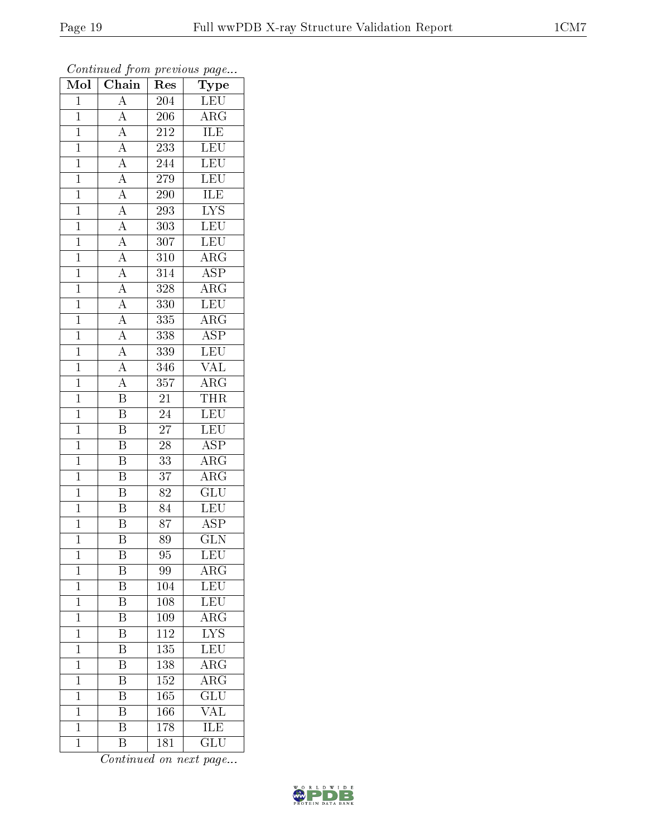| $\overline{\text{Mol}}$ | $\boldsymbol{\omega}$<br>Chain                                                                                                                                                                                                                  | ${\mathop{\mathrm{Res}}\nolimits}$ | $\mathbf{r}$<br>$\overline{\phantom{a}}$<br>Type |
|-------------------------|-------------------------------------------------------------------------------------------------------------------------------------------------------------------------------------------------------------------------------------------------|------------------------------------|--------------------------------------------------|
| $\overline{1}$          | $\overline{A}$                                                                                                                                                                                                                                  | 204                                | <b>LEU</b>                                       |
| $\overline{1}$          | $\overline{A}$                                                                                                                                                                                                                                  | 206                                | $\overline{\rm{ARG}}$                            |
| $\overline{1}$          | $\overline{A}$                                                                                                                                                                                                                                  | 212                                | <b>ILE</b>                                       |
| $\mathbf{1}$            | $\overline{A}$                                                                                                                                                                                                                                  | 233                                | LEU                                              |
| $\overline{1}$          | $\frac{\overline{A}}{\overline{A}}$                                                                                                                                                                                                             | 244                                | $\overline{\text{LEU}}$                          |
| $\overline{1}$          |                                                                                                                                                                                                                                                 | 279                                | LEU                                              |
| $\overline{1}$          |                                                                                                                                                                                                                                                 | 290                                | $\overline{\text{ILE}}$                          |
| $\mathbf{1}$            |                                                                                                                                                                                                                                                 | 293                                | $\overline{\text{LYS}}$                          |
| $\mathbf{1}$            |                                                                                                                                                                                                                                                 | 303                                | <b>LEU</b>                                       |
| $\overline{1}$          |                                                                                                                                                                                                                                                 | 307                                | LEU                                              |
| $\mathbf{1}$            |                                                                                                                                                                                                                                                 | 310                                | $\rm{ARG}$                                       |
| $\overline{1}$          |                                                                                                                                                                                                                                                 | 314                                | $\overline{\text{ASP}}$                          |
| $\overline{1}$          |                                                                                                                                                                                                                                                 | 328                                | $\overline{\rm{ARG}}$                            |
| $\mathbf{1}$            | $\frac{\overline{A}}{\overline{A}} \frac{\overline{A}}{\overline{A}} \frac{\overline{A}}{\overline{A}} \frac{\overline{A}}{\overline{A}} \frac{\overline{A}}{\overline{A}} \frac{\overline{A}}{\overline{A}} \frac{\overline{A}}{\overline{A}}$ | 330                                | <b>LEU</b>                                       |
| $\overline{1}$          |                                                                                                                                                                                                                                                 | 335                                | $\overline{\rm ARG}$                             |
| $\overline{1}$          |                                                                                                                                                                                                                                                 | 338                                | $\overline{\text{ASP}}$                          |
| $\overline{1}$          |                                                                                                                                                                                                                                                 | 339                                | LEU                                              |
| $\mathbf{1}$            |                                                                                                                                                                                                                                                 | 346                                | $\frac{\text{VAL}}{\text{ARG}}$                  |
| $\mathbf{1}$            |                                                                                                                                                                                                                                                 | 357                                |                                                  |
| $\mathbf{1}$            | $\overline{\mathrm{B}}$                                                                                                                                                                                                                         | $\overline{21}$                    | <b>THR</b>                                       |
| $\overline{1}$          | $\overline{\mathrm{B}}$                                                                                                                                                                                                                         | 24                                 | LEU                                              |
| $\overline{1}$          | $\overline{\mathrm{B}}$                                                                                                                                                                                                                         | $\overline{27}$                    | LEU                                              |
| $\mathbf 1$             | $\overline{\mathrm{B}}$                                                                                                                                                                                                                         | $\overline{28}$                    | $\overline{\text{ASP}}$                          |
| $\overline{1}$          | $\overline{\mathrm{B}}$                                                                                                                                                                                                                         | 33                                 | $\overline{\rm{ARG}}$                            |
| $\mathbf{1}$            | $\overline{\mathbf{B}}$                                                                                                                                                                                                                         | 37                                 | $\rm{ARG}$                                       |
| $\overline{1}$          | $\overline{\mathrm{B}}$                                                                                                                                                                                                                         | 82                                 | $\overline{\text{GLU}}$                          |
| $\mathbf{1}$            | $\overline{\mathrm{B}}$                                                                                                                                                                                                                         | $\overline{84}$                    | LEU                                              |
| $\mathbf{1}$            | $\overline{\mathbf{B}}$                                                                                                                                                                                                                         | 87                                 | <b>ASP</b>                                       |
| $\mathbf 1$             | $\overline{\mathrm{B}}$                                                                                                                                                                                                                         | 89                                 | $\overline{\text{GLN}}$                          |
| $\mathbf 1$             | B                                                                                                                                                                                                                                               | 95                                 | LEU                                              |
| $\mathbf{1}$            | $\boldsymbol{\mathrm{B}}$                                                                                                                                                                                                                       | 99                                 | $\rm{ARG}$                                       |
| $\mathbf{1}$            | $\overline{\mathrm{B}}$                                                                                                                                                                                                                         | 104                                | <b>LEU</b>                                       |
| $\mathbf{1}$            | $\boldsymbol{B}$                                                                                                                                                                                                                                | 108                                | LEU                                              |
| $\mathbf{1}$            | $\overline{\mathrm{B}}$                                                                                                                                                                                                                         | 109                                | $\overline{\rm{ARG}}$                            |
| $\mathbf{1}$            | B                                                                                                                                                                                                                                               | 112                                | $\overline{\text{LYS}}$                          |
| $\mathbf 1$             | $\overline{\mathrm{B}}$                                                                                                                                                                                                                         | $\overline{135}$                   | LEU                                              |
| $\mathbf{1}$            | $\overline{\mathrm{B}}$                                                                                                                                                                                                                         | 138                                | $\rm{ARG}$                                       |
| $\mathbf{1}$            | $\overline{\rm B}$                                                                                                                                                                                                                              | 152                                | $\overline{\rm{ARG}}$                            |
| $\mathbf{1}$            | $\overline{\mathrm{B}}$                                                                                                                                                                                                                         | 165                                | $\overline{{\rm GLU}}$                           |
| $\overline{1}$          | B                                                                                                                                                                                                                                               | 166                                | VAL                                              |
| $\overline{1}$          | $\overline{\mathrm{B}}$                                                                                                                                                                                                                         | 178                                | $\overline{\text{ILE}}$                          |
| $\overline{1}$          | $\overline{B}$                                                                                                                                                                                                                                  | 181                                | $\overline{\text{GLU}}$                          |

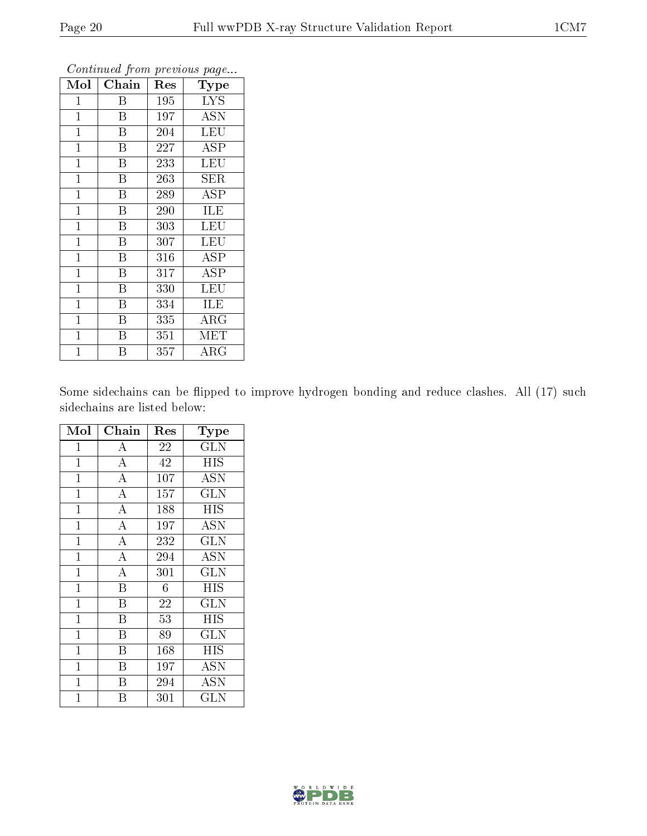| Mol            | ${\bf Chain}$           | Res | Type        |
|----------------|-------------------------|-----|-------------|
| $\mathbf 1$    | Β                       | 195 | <b>LYS</b>  |
| $\mathbf{1}$   | $\mathbf{B}$            | 197 | <b>ASN</b>  |
| $\mathbf{1}$   | $\overline{\mathrm{B}}$ | 204 | LEU         |
| $\mathbf{1}$   | $\overline{B}$          | 227 | ASP         |
| $\mathbf 1$    | $\rm \bar{B}$           | 233 | LEU         |
| $\mathbf 1$    | B                       | 263 | SER         |
| $\mathbf 1$    | B                       | 289 | ASP         |
| $\mathbf{1}$   | B                       | 290 | ILE         |
| $\mathbf{1}$   | B                       | 303 | LEU         |
| $\mathbf{1}$   | Β                       | 307 | LEU         |
| $\mathbf{1}$   | $\overline{B}$          | 316 | <b>ASP</b>  |
| $\overline{1}$ | $\overline{\mathrm{B}}$ | 317 | ASP         |
| $\mathbf{1}$   | Β                       | 330 | LEU         |
| $\mathbf 1$    | Β                       | 334 | <b>ILE</b>  |
| $\mathbf 1$    | Β                       | 335 | $\rm{ARG}$  |
| $\mathbf 1$    | Β                       | 351 | MET         |
| $\overline{1}$ | В                       | 357 | ${\rm ARG}$ |

Some sidechains can be flipped to improve hydrogen bonding and reduce clashes. All (17) such sidechains are listed below:

| Mol            | Chain                   | Res              | Type                    |
|----------------|-------------------------|------------------|-------------------------|
| $\mathbf{1}$   | А                       | 22               | <b>GLN</b>              |
| $\overline{1}$ | $\overline{A}$          | $\overline{42}$  | <b>HIS</b>              |
| $\mathbf 1$    | $\overline{\rm A}$      | 107              | <b>ASN</b>              |
| $\mathbf{1}$   | $\overline{\rm A}$      | 157              | $\overline{\text{GLN}}$ |
| $\mathbf{1}$   | $\overline{\rm A}$      | 188              | <b>HIS</b>              |
| $\mathbf{1}$   | $\overline{\rm A}$      | 197              | <b>ASN</b>              |
| $\mathbf{1}$   | $\overline{A}$          | 232              | $\overline{\text{GLN}}$ |
| $\mathbf{1}$   | $\overline{A}$          | 294              | ASN                     |
| $\mathbf 1$    | $\overline{A}$          | 301              | $\overline{\text{GLN}}$ |
| $\mathbf{1}$   | $\overline{\mathrm{B}}$ | 6                | <b>HIS</b>              |
| $\mathbf{1}$   | B                       | 22               | <b>GLN</b>              |
| $\overline{1}$ | B                       | $\overline{53}$  | <b>HIS</b>              |
| $\overline{1}$ | B                       | 89               | <b>GLN</b>              |
| $\overline{1}$ | $\overline{\mathrm{B}}$ | $\overline{1}68$ | $\overline{HIS}$        |
| $\overline{1}$ | B                       | 197              | <b>ASN</b>              |
| $\mathbf{1}$   | Β                       | 294              | <b>ASN</b>              |
| $\overline{1}$ | В                       | 301              | $_{\rm GLN}$            |

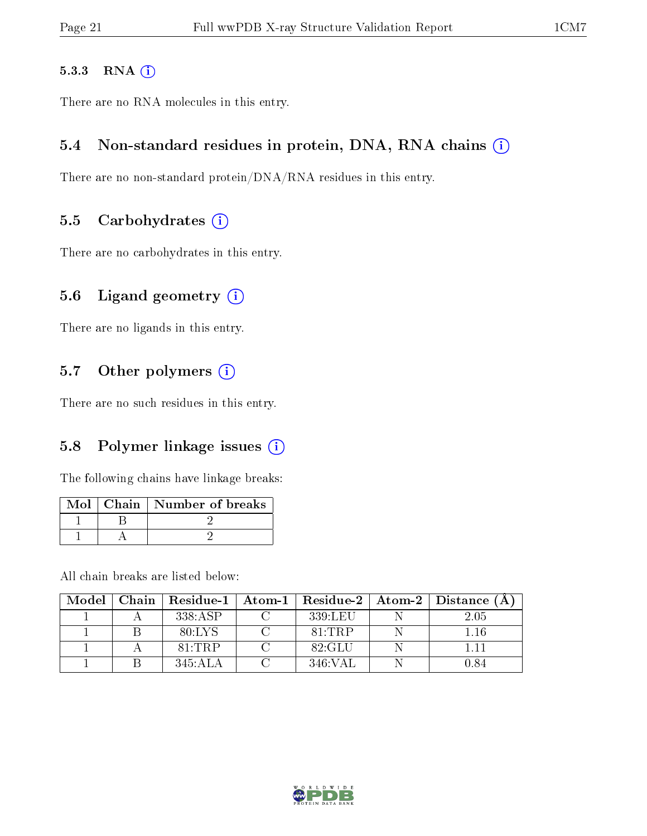#### 5.3.3 RNA [O](https://www.wwpdb.org/validation/2017/XrayValidationReportHelp#rna)i

There are no RNA molecules in this entry.

#### 5.4 Non-standard residues in protein, DNA, RNA chains (i)

There are no non-standard protein/DNA/RNA residues in this entry.

#### 5.5 Carbohydrates  $(i)$

There are no carbohydrates in this entry.

#### 5.6 Ligand geometry (i)

There are no ligands in this entry.

#### 5.7 [O](https://www.wwpdb.org/validation/2017/XrayValidationReportHelp#nonstandard_residues_and_ligands)ther polymers (i)

There are no such residues in this entry.

#### 5.8 Polymer linkage issues  $(i)$

The following chains have linkage breaks:

|  | Mol   Chain   Number of breaks |
|--|--------------------------------|
|  |                                |
|  |                                |

All chain breaks are listed below:

| Model |         |         | Chain   Residue-1   Atom-1   Residue-2   Atom-2   Distance (A |
|-------|---------|---------|---------------------------------------------------------------|
|       | 338:ASP | 339:LEU | 2.05                                                          |
|       | 80:LYS  | 81:TRP  | $1.16\,$                                                      |
|       | 81:TRP  | 82:GLU  | 111                                                           |
|       | 345:ALA | 346:VAL | 0.84                                                          |